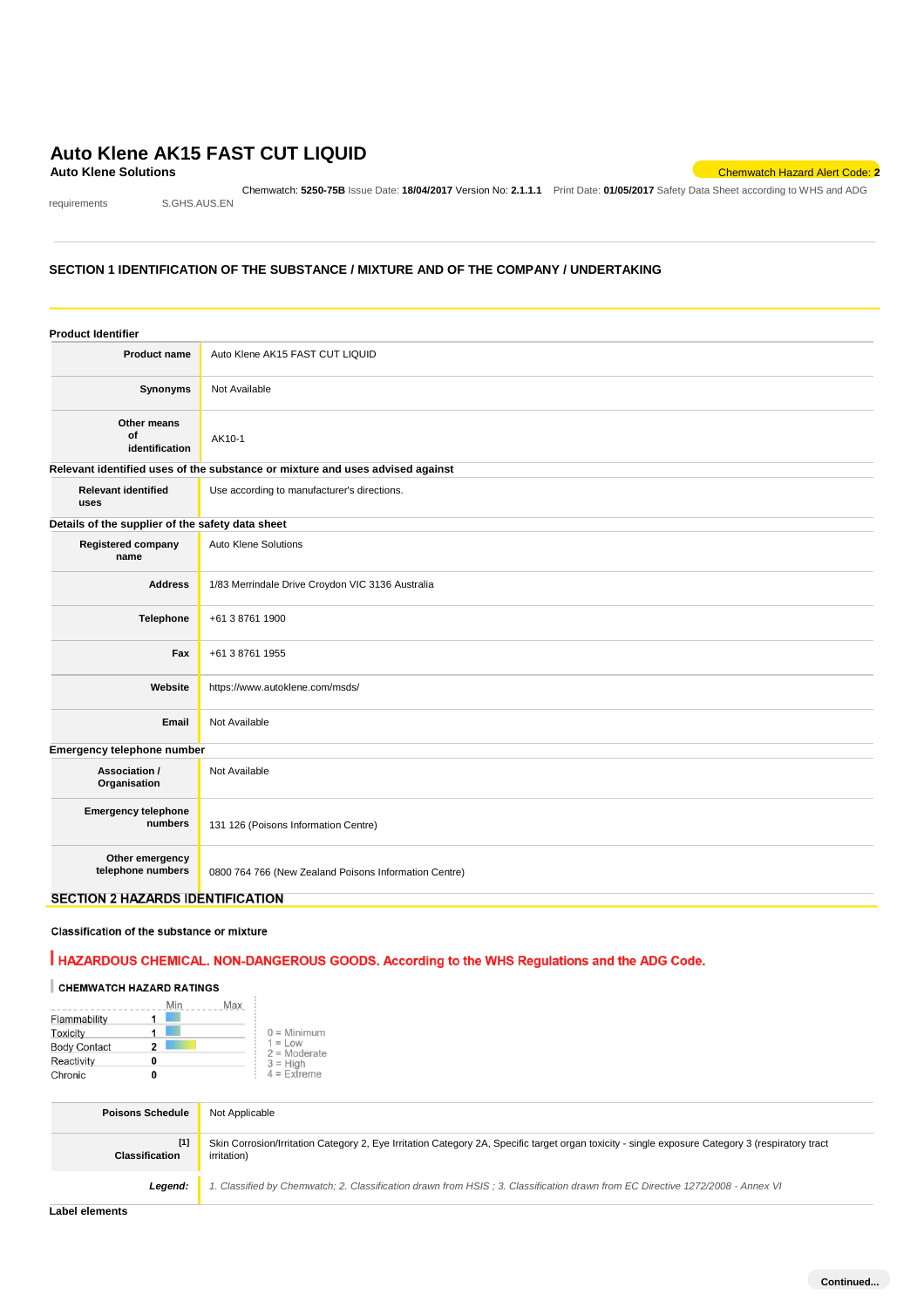# **Auto Klene AK15 FAST CUT LIQUID**<br>Auto Klene Solutions

requirements S.GHS.AUS.EN

Chemwatch: **5250-75B** Issue Date: **18/04/2017** Version No: **2.1.1.1** Print Date: **01/05/2017** Safety Data Sheet according to WHS and ADG

**Auto Klene Solutions** Chemwatch Hazard Alert Code: **2**

### **SECTION 1 IDENTIFICATION OF THE SUBSTANCE / MIXTURE AND OF THE COMPANY / UNDERTAKING**

| <b>Product Identifier</b>                        |                                                                               |
|--------------------------------------------------|-------------------------------------------------------------------------------|
| <b>Product name</b>                              | Auto Klene AK15 FAST CUT LIQUID                                               |
| Synonyms                                         | Not Available                                                                 |
| Other means<br>of<br>identification              | AK10-1                                                                        |
|                                                  | Relevant identified uses of the substance or mixture and uses advised against |
| <b>Relevant identified</b><br>uses               | Use according to manufacturer's directions.                                   |
| Details of the supplier of the safety data sheet |                                                                               |
| <b>Registered company</b><br>name                | Auto Klene Solutions                                                          |
| <b>Address</b>                                   | 1/83 Merrindale Drive Croydon VIC 3136 Australia                              |
| <b>Telephone</b>                                 | +61 3 8761 1900                                                               |
| Fax                                              | +61 3 8761 1955                                                               |
| Website                                          | https://www.autoklene.com/msds/                                               |
| Email                                            | Not Available                                                                 |
| Emergency telephone number                       |                                                                               |
| Association /<br>Organisation                    | Not Available                                                                 |
| <b>Emergency telephone</b><br>numbers            | 131 126 (Poisons Information Centre)                                          |
| Other emergency<br>telephone numbers             | 0800 764 766 (New Zealand Poisons Information Centre)                         |
| <b>SECTION 2 HAZARDS IDENTIFICATION</b>          |                                                                               |

### Classification of the substance or mixture

# HAZARDOUS CHEMICAL. NON-DANGEROUS GOODS. According to the WHS Regulations and the ADG Code.

# CHEMWATCH HAZARD RATINGS

|                     |   | Min | Max                         |  |
|---------------------|---|-----|-----------------------------|--|
| Flammability        |   |     |                             |  |
| Toxicity            |   |     | $0 =$ Minimum               |  |
| <b>Body Contact</b> | 2 |     | $1 = Low$<br>$2 =$ Moderate |  |
| Reactivity          | 0 |     | $3 =$ High                  |  |
| Chronic             | O |     | $4 =$ Extreme               |  |

| <b>Poisons Schedule</b>        | Not Applicable                                                                                                                                                  |
|--------------------------------|-----------------------------------------------------------------------------------------------------------------------------------------------------------------|
| $[1]$<br><b>Classification</b> | Skin Corrosion/Irritation Category 2, Eye Irritation Category 2A, Specific target organ toxicity - single exposure Category 3 (respiratory tract<br>irritation) |
| Leaend:                        | 1. Classified by Chemwatch; 2. Classification drawn from HSIS; 3. Classification drawn from EC Directive 1272/2008 - Annex VI                                   |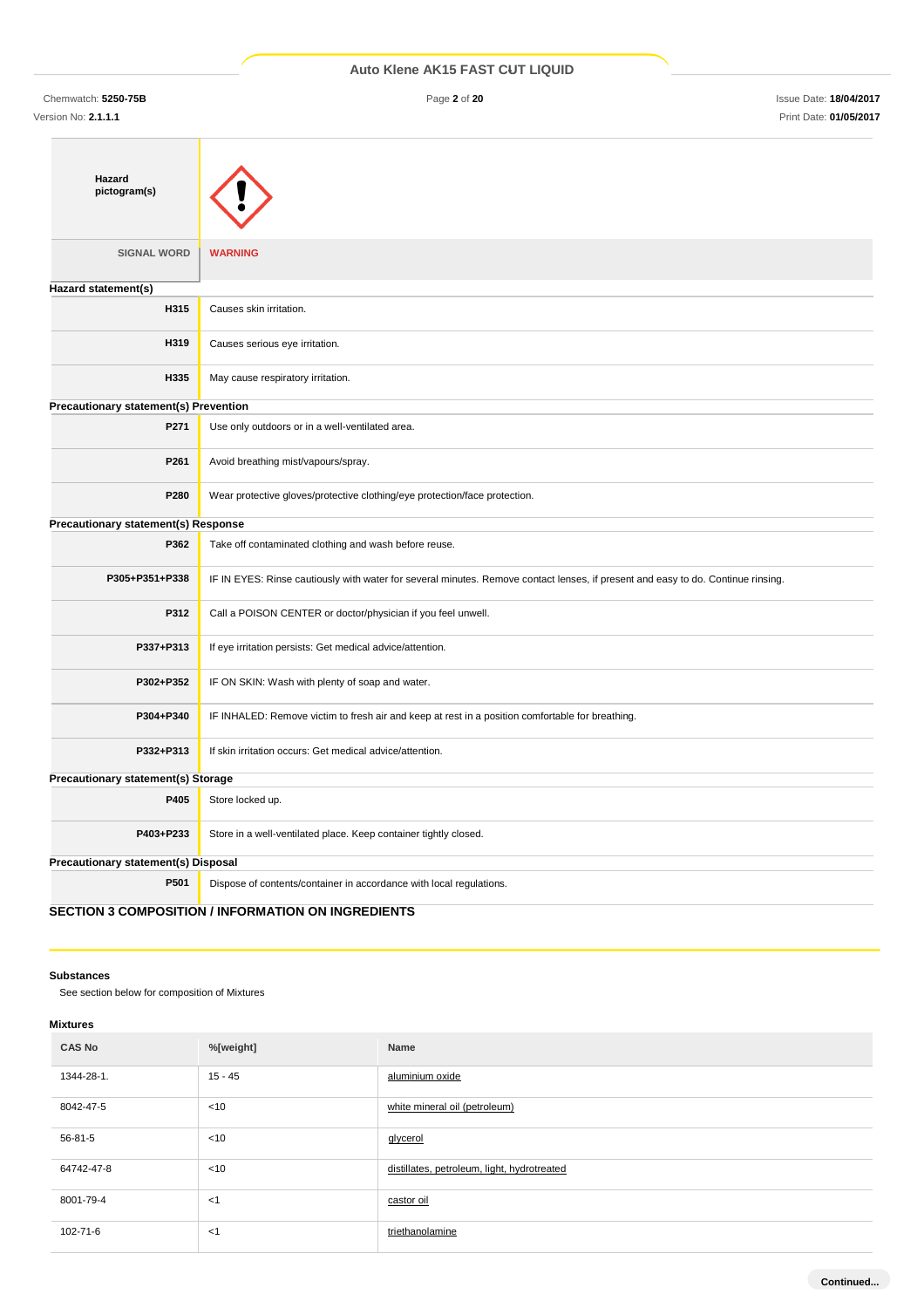Chemwatch: **5250-75B** Page **2** of **20** Issue Date: **18/04/2017** Version No: **2.1.1.1** Print Date: **01/05/2017**

| Hazard                                |                                                                                                                                  |
|---------------------------------------|----------------------------------------------------------------------------------------------------------------------------------|
| pictogram(s)                          |                                                                                                                                  |
|                                       |                                                                                                                                  |
|                                       |                                                                                                                                  |
| <b>SIGNAL WORD</b>                    | <b>WARNING</b>                                                                                                                   |
| Hazard statement(s)                   |                                                                                                                                  |
| H315                                  | Causes skin irritation.                                                                                                          |
| H319                                  | Causes serious eye irritation.                                                                                                   |
| H335                                  | May cause respiratory irritation.                                                                                                |
| Precautionary statement(s) Prevention |                                                                                                                                  |
| P271                                  | Use only outdoors or in a well-ventilated area.                                                                                  |
| P261                                  | Avoid breathing mist/vapours/spray.                                                                                              |
| P280                                  | Wear protective gloves/protective clothing/eye protection/face protection.                                                       |
| Precautionary statement(s) Response   |                                                                                                                                  |
| P362                                  | Take off contaminated clothing and wash before reuse.                                                                            |
| P305+P351+P338                        | IF IN EYES: Rinse cautiously with water for several minutes. Remove contact lenses, if present and easy to do. Continue rinsing. |
| P312                                  | Call a POISON CENTER or doctor/physician if you feel unwell.                                                                     |
| P337+P313                             | If eye irritation persists: Get medical advice/attention.                                                                        |
| P302+P352                             | IF ON SKIN: Wash with plenty of soap and water.                                                                                  |
| P304+P340                             | IF INHALED: Remove victim to fresh air and keep at rest in a position comfortable for breathing.                                 |
| P332+P313                             | If skin irritation occurs: Get medical advice/attention.                                                                         |
| Precautionary statement(s) Storage    |                                                                                                                                  |
| P405                                  | Store locked up.                                                                                                                 |
| P403+P233                             | Store in a well-ventilated place. Keep container tightly closed.                                                                 |
| Precautionary statement(s) Disposal   |                                                                                                                                  |
| P501                                  | Dispose of contents/container in accordance with local regulations.                                                              |
|                                       | <b>SECTION 3 COMPOSITION / INFORMATION ON INGREDIENTS</b>                                                                        |

### **Substances**

See section below for composition of Mixtures

### **Mixtures**

| <b>CAS No</b> | %[weight] | Name                                        |
|---------------|-----------|---------------------------------------------|
| 1344-28-1.    | $15 - 45$ | aluminium oxide                             |
| 8042-47-5     | < 10      | white mineral oil (petroleum)               |
| 56-81-5       | $<$ 10    | glycerol                                    |
| 64742-47-8    | < 10      | distillates, petroleum, light, hydrotreated |
| 8001-79-4     | $<$ 1     | castor oil                                  |
| 102-71-6      | $<$ 1     | triethanolamine                             |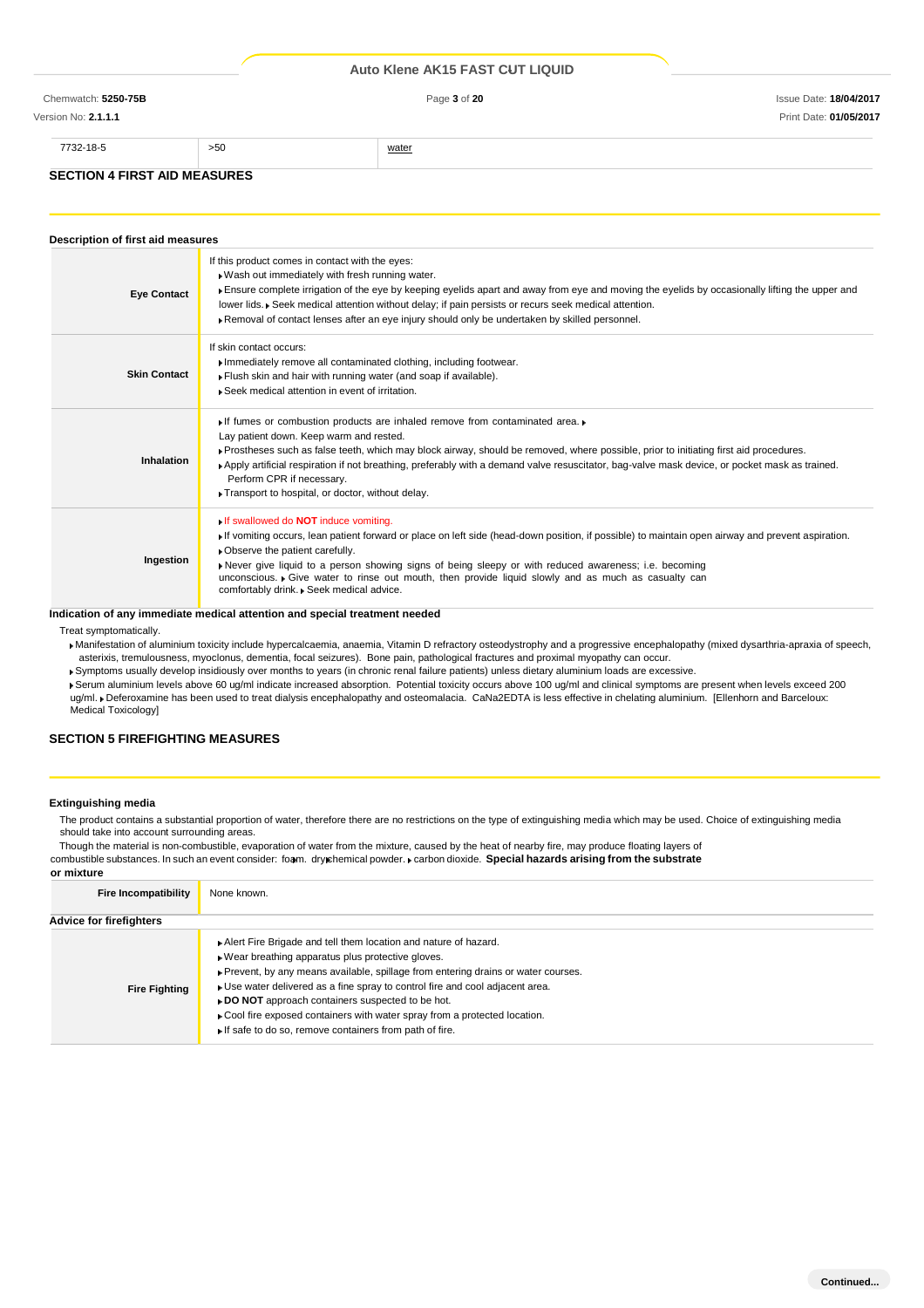### Version No: **2.1.1.1** Print Date: **01/05/2017**

| 7732-18-5                           | >50 | water |
|-------------------------------------|-----|-------|
|                                     |     |       |
| <b>SECTION 4 FIRST AID MEASURES</b> |     |       |

### **Description of first aid measures Eye Contact** If this product comes in contact with the eyes: Wash out immediately with fresh running water. Ensure complete irrigation of the eye by keeping eyelids apart and away from eye and moving the eyelids by occasionally lifting the upper and lower lids. Seek medical attention without delay; if pain persists or recurs seek medical attention Removal of contact lenses after an eye injury should only be undertaken by skilled personnel. **Skin Contact** If skin contact occurs: Immediately remove all contaminated clothing, including footwear. Flush skin and hair with running water (and soap if available). Seek medical attention in event of irritation. **Inhalation** If fumes or combustion products are inhaled remove from contaminated area. Lay patient down. Keep warm and rested. Prostheses such as false teeth, which may block airway, should be removed, where possible, prior to initiating first aid procedures. Apply artificial respiration if not breathing, preferably with a demand valve resuscitator, bag-valve mask device, or pocket mask as trained. Perform CPR if necessary. Transport to hospital, or doctor, without delay. **Ingestion** If swallowed do **NOT** induce vomiting. If vomiting occurs, lean patient forward or place on left side (head-down position, if possible) to maintain open airway and prevent aspiration. Observe the patient carefully. Never give liquid to a person showing signs of being sleepy or with reduced awareness; i.e. becoming unconscious. Give water to rinse out mouth, then provide liquid slowly and as much as casualty can comfortably drink. Beek medical advice.

### **Indication of any immediate medical attention and special treatment needed**

Treat symptomatically.

Manifestation of aluminium toxicity include hypercalcaemia, anaemia, Vitamin D refractory osteodystrophy and a progressive encephalopathy (mixed dysarthria-apraxia of speech, asterixis, tremulousness, myoclonus, dementia, focal seizures). Bone pain, pathological fractures and proximal myopathy can occur.

Symptoms usually develop insidiously over months to years (in chronic renal failure patients) unless dietary aluminium loads are excessive.

Serum aluminium levels above 60 ug/ml indicate increased absorption. Potential toxicity occurs above 100 ug/ml and clinical symptoms are present when levels exceed 200 ug/ml. Deferoxamine has been used to treat dialysis encephalopathy and osteomalacia. CaNa2EDTA is less effective in chelating aluminium. [Ellenhorn and Barceloux: Medical Toxicology]

# **SECTION 5 FIREFIGHTING MEASURES**

### **Extinguishing media**

The product contains a substantial proportion of water, therefore there are no restrictions on the type of extinguishing media which may be used. Choice of extinguishing media should take into account surrounding areas.

Though the material is non-combustible, evaporation of water from the mixture, caused by the heat of nearby fire, may produce floating layers of combustible substances. In such an event consider: foam. dry chemical powder. carbon dioxide. **Special hazards arising from the substrate** 

| or mixture                  |                                                                                                                                                                                                                                                                                                                                                                                                                                                                                         |
|-----------------------------|-----------------------------------------------------------------------------------------------------------------------------------------------------------------------------------------------------------------------------------------------------------------------------------------------------------------------------------------------------------------------------------------------------------------------------------------------------------------------------------------|
| <b>Fire Incompatibility</b> | None known.                                                                                                                                                                                                                                                                                                                                                                                                                                                                             |
| Advice for firefighters     |                                                                                                                                                                                                                                                                                                                                                                                                                                                                                         |
| <b>Fire Fighting</b>        | Alert Fire Brigade and tell them location and nature of hazard.<br>Wear breathing apparatus plus protective gloves.<br>▶ Prevent, by any means available, spillage from entering drains or water courses.<br>• Use water delivered as a fine spray to control fire and cool adjacent area.<br>► DO NOT approach containers suspected to be hot.<br>• Cool fire exposed containers with water spray from a protected location.<br>If safe to do so, remove containers from path of fire. |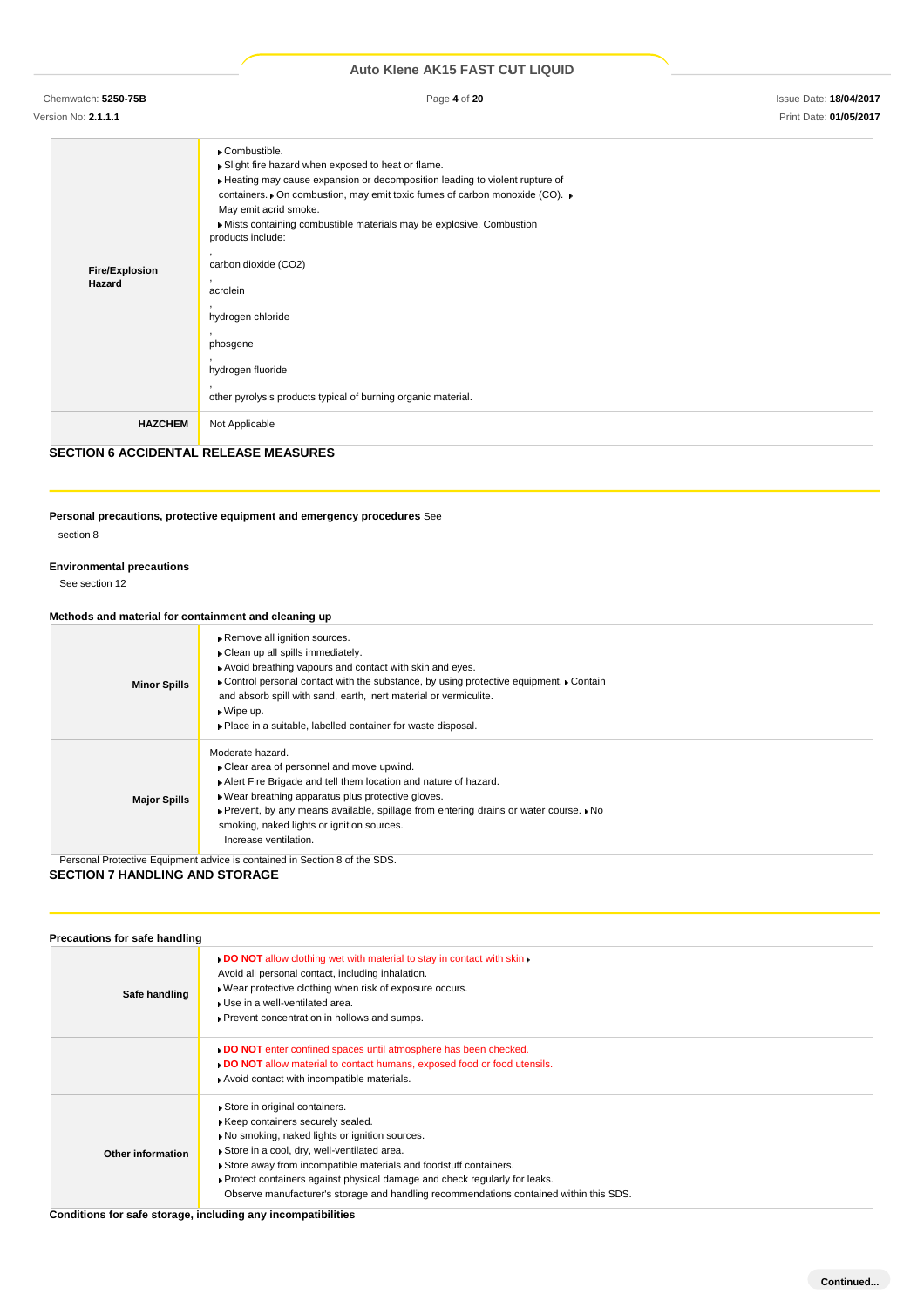Chemwatch: **5250-75B** Page **4** of **20** Issue Date: **18/04/2017**

Version No: **2.1.1.1** Print Date: **01/05/2017**

| <b>Fire/Explosion</b><br>Hazard | ▶ Combustible.<br>Slight fire hazard when exposed to heat or flame.<br>Heating may cause expansion or decomposition leading to violent rupture of<br>containers. • On combustion, may emit toxic fumes of carbon monoxide (CO). •<br>May emit acrid smoke.<br>Mists containing combustible materials may be explosive. Combustion<br>products include:<br>carbon dioxide (CO2)<br>acrolein<br>hydrogen chloride<br>phosgene<br>hydrogen fluoride<br>other pyrolysis products typical of burning organic material. |
|---------------------------------|-------------------------------------------------------------------------------------------------------------------------------------------------------------------------------------------------------------------------------------------------------------------------------------------------------------------------------------------------------------------------------------------------------------------------------------------------------------------------------------------------------------------|
| <b>HAZCHEM</b>                  | Not Applicable                                                                                                                                                                                                                                                                                                                                                                                                                                                                                                    |

# **SECTION 6 ACCIDENTAL RELEASE MEASURES**

# **Personal precautions, protective equipment and emergency procedures** See

section 8

### **Environmental precautions**

See section 12

# **Methods and material for containment and cleaning up**

| <b>Minor Spills</b> | Remove all ignition sources.<br>Clean up all spills immediately.<br>Avoid breathing vapours and contact with skin and eyes.<br>Control personal contact with the substance, by using protective equipment. Contain<br>and absorb spill with sand, earth, inert material or vermiculite.<br>$\triangleright$ Wipe up.<br>• Place in a suitable, labelled container for waste disposal. |
|---------------------|---------------------------------------------------------------------------------------------------------------------------------------------------------------------------------------------------------------------------------------------------------------------------------------------------------------------------------------------------------------------------------------|
| <b>Major Spills</b> | Moderate hazard.<br>• Clear area of personnel and move upwind.<br>Alert Fire Brigade and tell them location and nature of hazard.<br>. Wear breathing apparatus plus protective gloves.<br>► Prevent, by any means available, spillage from entering drains or water course. ► No<br>smoking, naked lights or ignition sources.<br>Increase ventilation.                              |

Personal Protective Equipment advice is contained in Section 8 of the SDS.

# **SECTION 7 HANDLING AND STORAGE**

| Precautions for safe handling |                                                                                                                                                                                                                                                                                                                                                                                                                |
|-------------------------------|----------------------------------------------------------------------------------------------------------------------------------------------------------------------------------------------------------------------------------------------------------------------------------------------------------------------------------------------------------------------------------------------------------------|
| Safe handling                 | . DO NOT allow clothing wet with material to stay in contact with skin<br>Avoid all personal contact, including inhalation.<br>. Wear protective clothing when risk of exposure occurs.<br>Use in a well-ventilated area.<br>▶ Prevent concentration in hollows and sumps.                                                                                                                                     |
|                               | . DO NOT enter confined spaces until atmosphere has been checked.<br>DO NOT allow material to contact humans, exposed food or food utensils.<br>Avoid contact with incompatible materials.                                                                                                                                                                                                                     |
| Other information             | Store in original containers.<br>Keep containers securely sealed.<br>No smoking, naked lights or ignition sources.<br>Store in a cool, dry, well-ventilated area.<br>Store away from incompatible materials and foodstuff containers.<br>▶ Protect containers against physical damage and check regularly for leaks.<br>Observe manufacturer's storage and handling recommendations contained within this SDS. |

**Conditions for safe storage, including any incompatibilities**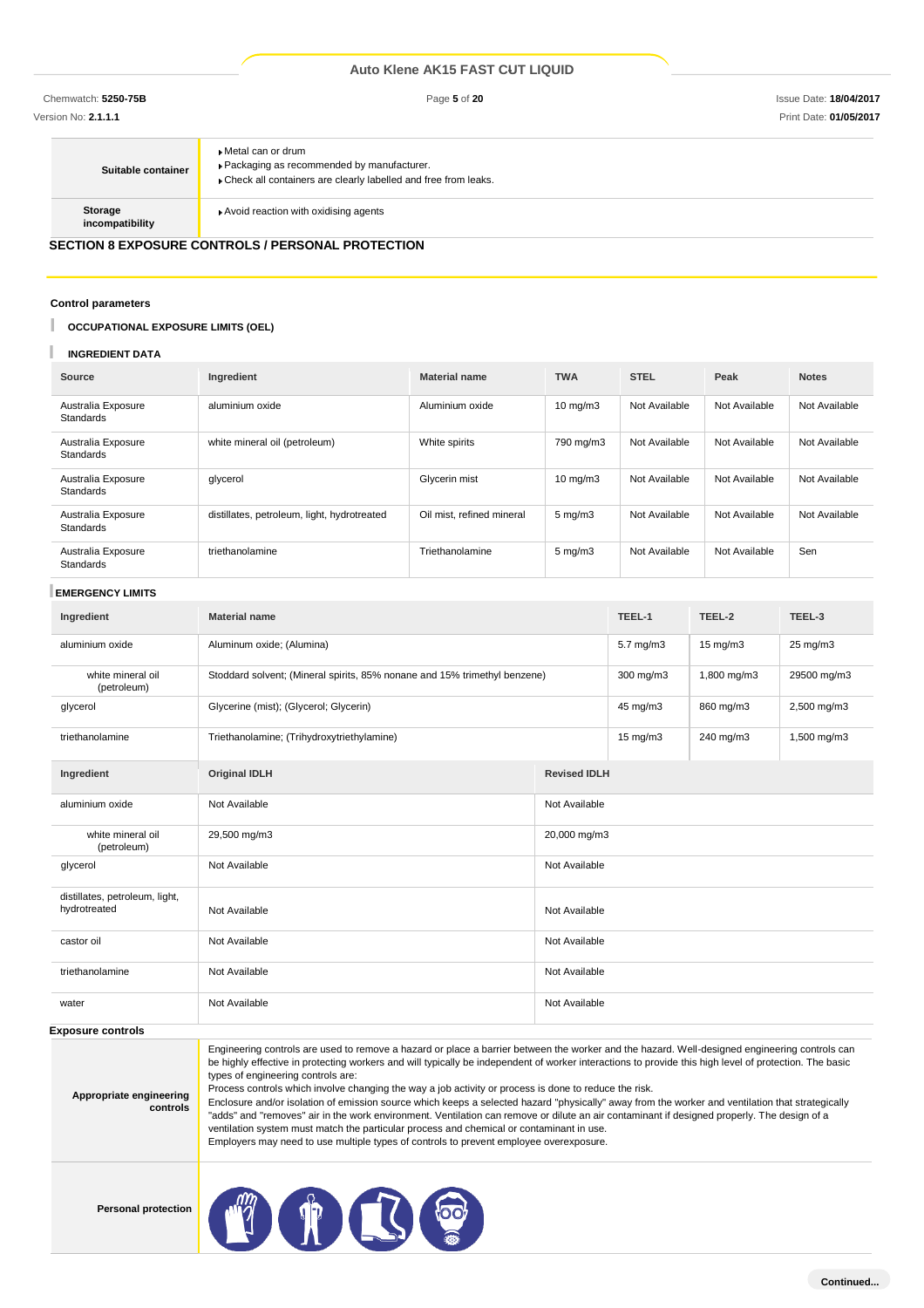| Suitable container         | ▶ Metal can or drum<br>▶ Packaging as recommended by manufacturer.<br>Check all containers are clearly labelled and free from leaks. |
|----------------------------|--------------------------------------------------------------------------------------------------------------------------------------|
| Storage<br>incompatibility | Avoid reaction with oxidising agents                                                                                                 |

# **SECTION 8 EXPOSURE CONTROLS / PERSONAL PROTECTION**

### **Control parameters**

### U **OCCUPATIONAL EXPOSURE LIMITS (OEL)**

### T **INGREDIENT DATA**

| Source                                 | Ingredient                                  | <b>Material name</b>      | <b>TWA</b>         | <b>STEL</b>   | Peak          | <b>Notes</b>  |
|----------------------------------------|---------------------------------------------|---------------------------|--------------------|---------------|---------------|---------------|
| Australia Exposure<br><b>Standards</b> | aluminium oxide                             | Aluminium oxide           | $10 \text{ mg/m}$  | Not Available | Not Available | Not Available |
| Australia Exposure<br>Standards        | white mineral oil (petroleum)               | White spirits             | 790 mg/m3          | Not Available | Not Available | Not Available |
| Australia Exposure<br>Standards        | glycerol                                    | Glycerin mist             | $10 \text{ mg/m}$  | Not Available | Not Available | Not Available |
| Australia Exposure<br><b>Standards</b> | distillates, petroleum, light, hydrotreated | Oil mist, refined mineral | $5 \text{ mg/m}$ 3 | Not Available | Not Available | Not Available |
| Australia Exposure<br>Standards        | triethanolamine                             | Triethanolamine           | $5 \text{ mg/m}$   | Not Available | Not Available | Sen           |

### **EMERGENCY LIMITS**

| Ingredient                                     | <b>Material name</b>                                                      |                     | TEEL-1            | TEEL-2            | TEEL-3      |
|------------------------------------------------|---------------------------------------------------------------------------|---------------------|-------------------|-------------------|-------------|
| aluminium oxide                                | Aluminum oxide; (Alumina)                                                 |                     | 5.7 mg/m3         | $15 \text{ mg/m}$ | 25 mg/m3    |
| white mineral oil<br>(petroleum)               | Stoddard solvent; (Mineral spirits, 85% nonane and 15% trimethyl benzene) |                     | 300 mg/m3         | 1,800 mg/m3       | 29500 mg/m3 |
| glycerol                                       | Glycerine (mist); (Glycerol; Glycerin)                                    |                     | 45 mg/m3          | 860 mg/m3         | 2,500 mg/m3 |
| triethanolamine                                | Triethanolamine; (Trihydroxytriethylamine)                                |                     | $15 \text{ mg/m}$ | 240 mg/m3         | 1,500 mg/m3 |
| Ingredient                                     | <b>Original IDLH</b>                                                      | <b>Revised IDLH</b> |                   |                   |             |
| aluminium oxide                                | Not Available                                                             | Not Available       |                   |                   |             |
| white mineral oil<br>(petroleum)               | 29,500 mg/m3                                                              | 20,000 mg/m3        |                   |                   |             |
| glycerol                                       | Not Available<br>Not Available                                            |                     |                   |                   |             |
| distillates, petroleum, light,<br>hydrotreated | Not Available                                                             | Not Available       |                   |                   |             |
| castor oil                                     | Not Available                                                             | Not Available       |                   |                   |             |
| triethanolamine                                | Not Available<br>Not Available                                            |                     |                   |                   |             |
| water                                          | Not Available<br>Not Available                                            |                     |                   |                   |             |

### **Exposure controls**

|                         | Engineering controls are used to remove a hazard or place a barrier between the worker and the hazard. Well-designed engineering controls can<br>be highly effective in protecting workers and will typically be independent of worker interactions to provide this high level of protection. The basic |
|-------------------------|---------------------------------------------------------------------------------------------------------------------------------------------------------------------------------------------------------------------------------------------------------------------------------------------------------|
|                         | types of engineering controls are:                                                                                                                                                                                                                                                                      |
| Appropriate engineering | Process controls which involve changing the way a job activity or process is done to reduce the risk.                                                                                                                                                                                                   |
|                         |                                                                                                                                                                                                                                                                                                         |

**controls** Enclosure and/or isolation of emission source which keeps a selected hazard "physically" away from the worker and ventilation that strategically "adds" and "removes" air in the work environment. Ventilation can remove or dilute an air contaminant if designed properly. The design of a ventilation system must match the particular process and chemical or contaminant in use. Employers may need to use multiple types of controls to prevent employee overexposure.

**Personal protection**

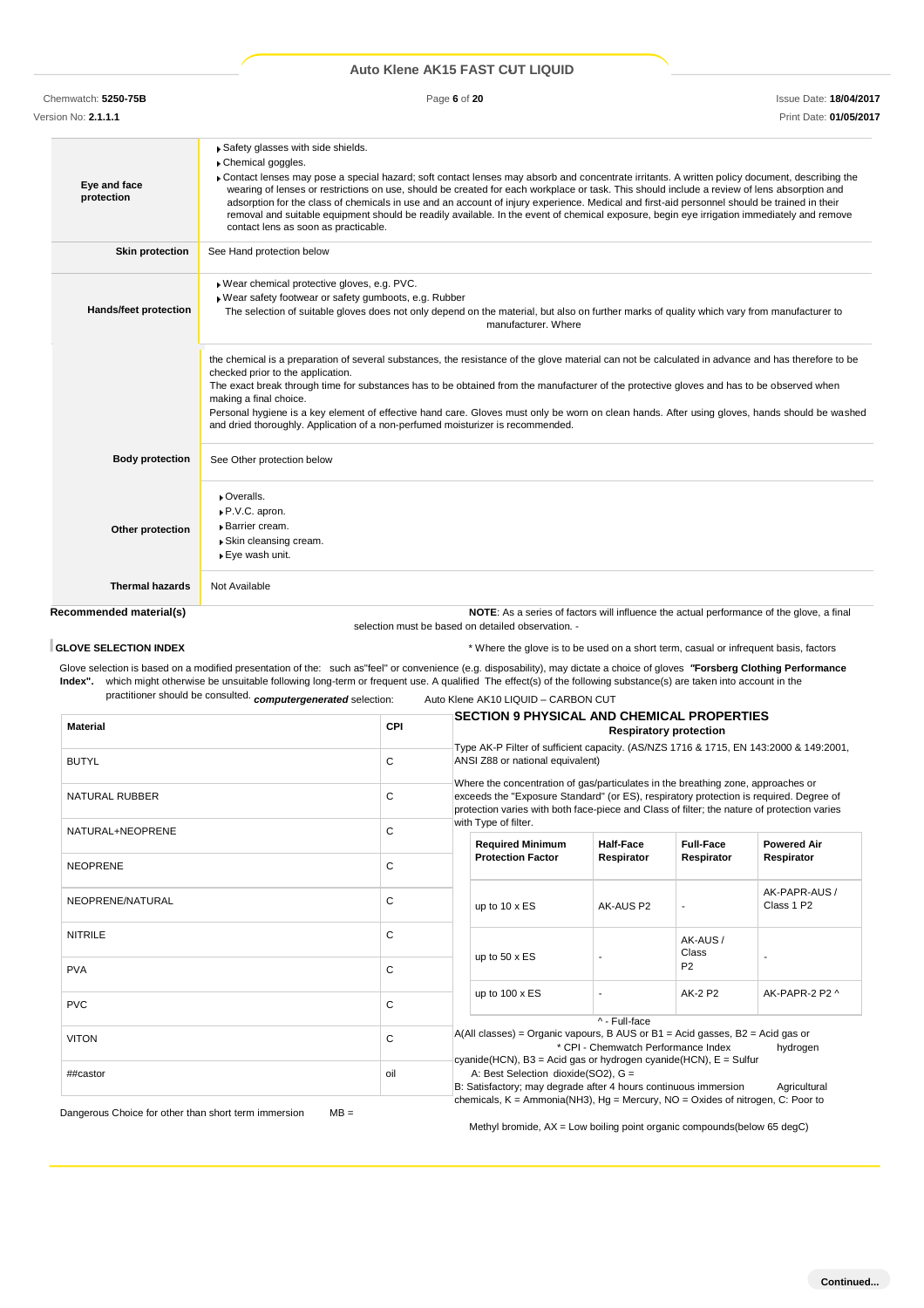| Chemwatch: 5250-75B        | Page 6 of 20                                                                                                                                                                                                                                                                                                                                                                                                                                                                                                                                                                                                                                                                                 | <b>Issue Date: 18/04/2017</b> |
|----------------------------|----------------------------------------------------------------------------------------------------------------------------------------------------------------------------------------------------------------------------------------------------------------------------------------------------------------------------------------------------------------------------------------------------------------------------------------------------------------------------------------------------------------------------------------------------------------------------------------------------------------------------------------------------------------------------------------------|-------------------------------|
| Version No: 2.1.1.1        |                                                                                                                                                                                                                                                                                                                                                                                                                                                                                                                                                                                                                                                                                              | Print Date: 01/05/2017        |
| Eye and face<br>protection | Safety glasses with side shields.<br>Chemical goggles.<br>Contact lenses may pose a special hazard; soft contact lenses may absorb and concentrate irritants. A written policy document, describing the<br>wearing of lenses or restrictions on use, should be created for each workplace or task. This should include a review of lens absorption and<br>adsorption for the class of chemicals in use and an account of injury experience. Medical and first-aid personnel should be trained in their<br>removal and suitable equipment should be readily available. In the event of chemical exposure, begin eye irrigation immediately and remove<br>contact lens as soon as practicable. |                               |
| <b>Skin protection</b>     | See Hand protection below                                                                                                                                                                                                                                                                                                                                                                                                                                                                                                                                                                                                                                                                    |                               |
| Hands/feet protection      | Wear chemical protective gloves, e.g. PVC.<br>Wear safety footwear or safety gumboots, e.g. Rubber<br>The selection of suitable gloves does not only depend on the material, but also on further marks of quality which vary from manufacturer to                                                                                                                                                                                                                                                                                                                                                                                                                                            |                               |

|                              | Not Available                                                                                                                                                                                                                                                                                                                                                                                                                                                                                                                                                                                      |
|------------------------------|----------------------------------------------------------------------------------------------------------------------------------------------------------------------------------------------------------------------------------------------------------------------------------------------------------------------------------------------------------------------------------------------------------------------------------------------------------------------------------------------------------------------------------------------------------------------------------------------------|
| <b>Thermal hazards</b>       |                                                                                                                                                                                                                                                                                                                                                                                                                                                                                                                                                                                                    |
| Other protection             | Overalls.<br>P.V.C. apron.<br>Barrier cream.<br>Skin cleansing cream.<br>▶ Eye wash unit.                                                                                                                                                                                                                                                                                                                                                                                                                                                                                                          |
| <b>Body protection</b>       | See Other protection below                                                                                                                                                                                                                                                                                                                                                                                                                                                                                                                                                                         |
|                              | the chemical is a preparation of several substances, the resistance of the glove material can not be calculated in advance and has therefore to be<br>checked prior to the application.<br>The exact break through time for substances has to be obtained from the manufacturer of the protective gloves and has to be observed when<br>making a final choice.<br>Personal hygiene is a key element of effective hand care. Gloves must only be worn on clean hands. After using gloves, hands should be washed<br>and dried thoroughly. Application of a non-perfumed moisturizer is recommended. |
| <b>Hands/feet protection</b> | Wear chemical protective gloves, e.g. PVC.<br>Wear safety footwear or safety gumboots, e.g. Rubber<br>The selection of suitable gloves does not only depend on the material, but also on further marks of quality which vary from manufacturer to<br>manufacturer. Where                                                                                                                                                                                                                                                                                                                           |

selection must be based on detailed observation. -

**GLOVE SELECTION INDEX EXECTION INDEX EXECTION INDEX EXECUTE:**  $\star$  Where the glove is to be used on a short term, casual or infrequent basis, factors

Glove selection is based on a modified presentation of the: such as"feel" or convenience (e.g. disposability), may dictate a choice of gloves *"***Forsberg Clothing Performance Index".** which might otherwise be unsuitable following long-term or frequent use. A qualified The effect(s) of the following substance(s) are taken into account in the practitioner should be consulted. *computergenerated* selection: Auto Klene AK10 LIQUID – CARBON CUT

|                       |              | <b>SECTION 9 PHYSICAL AND CHEMICAL PROPERTIES</b>                                                                                                                                                                                                                                                             |                  |                  |                             |  |  |
|-----------------------|--------------|---------------------------------------------------------------------------------------------------------------------------------------------------------------------------------------------------------------------------------------------------------------------------------------------------------------|------------------|------------------|-----------------------------|--|--|
| <b>Material</b>       | <b>CPI</b>   | <b>Respiratory protection</b>                                                                                                                                                                                                                                                                                 |                  |                  |                             |  |  |
|                       |              | Type AK-P Filter of sufficient capacity. (AS/NZS 1716 & 1715, EN 143:2000 & 149:2001,                                                                                                                                                                                                                         |                  |                  |                             |  |  |
| <b>BUTYL</b>          | $\mathsf{C}$ | ANSI Z88 or national equivalent)<br>Where the concentration of gas/particulates in the breathing zone, approaches or<br>exceeds the "Exposure Standard" (or ES), respiratory protection is required. Degree of<br>protection varies with both face-piece and Class of filter; the nature of protection varies |                  |                  |                             |  |  |
| <b>NATURAL RUBBER</b> | C            |                                                                                                                                                                                                                                                                                                               |                  |                  |                             |  |  |
| NATURAL+NEOPRENE      | C            | with Type of filter.                                                                                                                                                                                                                                                                                          |                  |                  |                             |  |  |
|                       |              | <b>Required Minimum</b>                                                                                                                                                                                                                                                                                       | <b>Half-Face</b> | <b>Full-Face</b> | <b>Powered Air</b>          |  |  |
| <b>NEOPRENE</b>       | C            |                                                                                                                                                                                                                                                                                                               | Respirator       | Respirator       | Respirator                  |  |  |
| NEOPRENE/NATURAL      | C            | up to $10 \times ES$                                                                                                                                                                                                                                                                                          | AK-AUS P2        | $\overline{a}$   | AK-PAPR-AUS /<br>Class 1 P2 |  |  |
| <b>NITRILE</b>        | C            |                                                                                                                                                                                                                                                                                                               |                  | AK-AUS/<br>Class |                             |  |  |
| <b>PVA</b>            | C            | up to $50 \times ES$                                                                                                                                                                                                                                                                                          |                  | P <sub>2</sub>   |                             |  |  |
|                       |              | up to 100 x ES                                                                                                                                                                                                                                                                                                |                  | <b>AK-2 P2</b>   | AK-PAPR-2 P2 ^              |  |  |
| <b>PVC</b>            | C            |                                                                                                                                                                                                                                                                                                               |                  |                  |                             |  |  |
|                       |              |                                                                                                                                                                                                                                                                                                               | ^ - Full-face    |                  |                             |  |  |
| <b>VITON</b>          | C            | $A(All classes) = Organic vapours, B AUS or B1 = Acid gases, B2 = Acid gas or$<br>* CPI - Chemwatch Performance Index<br>hydrogen                                                                                                                                                                             |                  |                  |                             |  |  |
|                       |              | cyanide(HCN), B3 = Acid gas or hydrogen cyanide(HCN), E = Sulfur                                                                                                                                                                                                                                              |                  |                  |                             |  |  |
| ##castor              | oil          | A: Best Selection dioxide(SO2), G =                                                                                                                                                                                                                                                                           |                  |                  |                             |  |  |
|                       |              | B: Satisfactory; may degrade after 4 hours continuous immersion<br>Agricultural                                                                                                                                                                                                                               |                  |                  |                             |  |  |
|                       |              | chemicals, $K = \text{Ammonia(NH3)}$ , $Hg = \text{Mercury}$ , $NO = \text{Oxides}$ of nitrogen, C: Poor to                                                                                                                                                                                                   |                  |                  |                             |  |  |

Dangerous Choice for other than short term immersion MB =

Methyl bromide, AX = Low boiling point organic compounds(below 65 degC)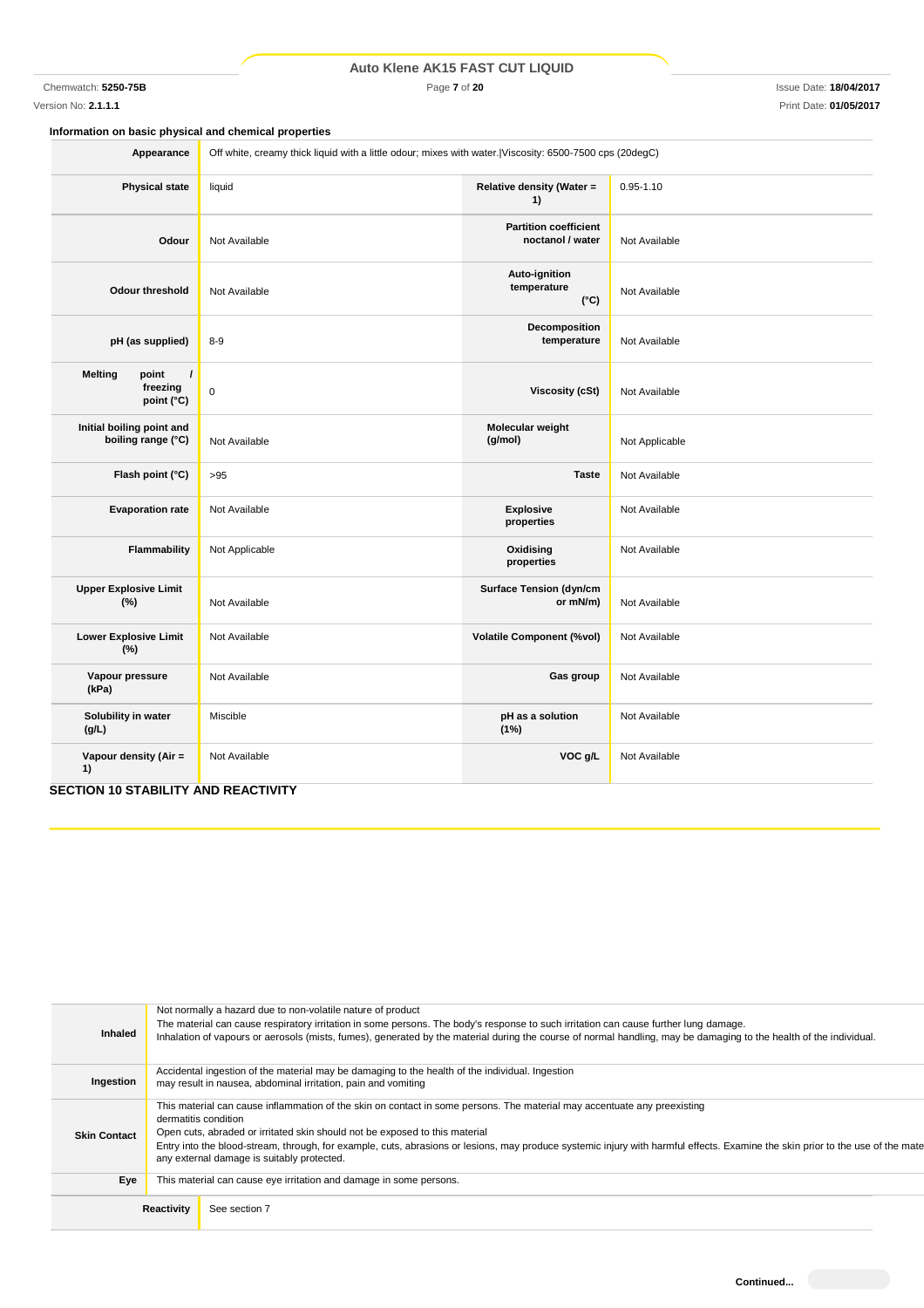Chemwatch: **5250-75B** Page **7** of **20** Issue Date: **18/04/2017**

# Version No: **2.1.1.1** Print Date: **01/05/2017**

**Information on basic physical and chemical properties**

| Appearance                                                    | Off white, creamy thick liquid with a little odour; mixes with water. Viscosity: 6500-7500 cps (20degC) |                                                  |                |  |  |
|---------------------------------------------------------------|---------------------------------------------------------------------------------------------------------|--------------------------------------------------|----------------|--|--|
| <b>Physical state</b>                                         | liquid                                                                                                  | Relative density (Water =<br>1)                  | $0.95 - 1.10$  |  |  |
| Odour                                                         | Not Available                                                                                           | <b>Partition coefficient</b><br>noctanol / water | Not Available  |  |  |
| <b>Odour threshold</b>                                        | Not Available                                                                                           | Auto-ignition<br>temperature<br>$(^{\circ}C)$    | Not Available  |  |  |
| pH (as supplied)                                              | $8 - 9$                                                                                                 | Decomposition<br>temperature                     | Not Available  |  |  |
| $\prime$<br><b>Melting</b><br>point<br>freezing<br>point (°C) | $\mathbf 0$                                                                                             | <b>Viscosity (cSt)</b>                           | Not Available  |  |  |
| Initial boiling point and<br>boiling range (°C)               | Not Available                                                                                           | Molecular weight<br>(g/mol)                      | Not Applicable |  |  |
| Flash point (°C)                                              | >95                                                                                                     | <b>Taste</b>                                     | Not Available  |  |  |
| <b>Evaporation rate</b>                                       | Not Available                                                                                           | <b>Explosive</b><br>properties                   | Not Available  |  |  |
| <b>Flammability</b>                                           | Not Applicable                                                                                          | Oxidising<br>properties                          | Not Available  |  |  |
| <b>Upper Explosive Limit</b><br>(%)                           | Not Available                                                                                           | <b>Surface Tension (dyn/cm</b><br>or mN/m)       | Not Available  |  |  |
| <b>Lower Explosive Limit</b><br>(% )                          | Not Available                                                                                           | <b>Volatile Component (%vol)</b>                 | Not Available  |  |  |
| Vapour pressure<br>(kPa)                                      | Not Available                                                                                           | Gas group                                        | Not Available  |  |  |
| Solubility in water<br>(g/L)                                  | Miscible                                                                                                | pH as a solution<br>(1%)                         | Not Available  |  |  |
| Vapour density (Air =<br>1)                                   | Not Available                                                                                           | VOC g/L                                          | Not Available  |  |  |

# **SECTION 10 STABILITY AND REACTIVITY**

| Inhaled             | Not normally a hazard due to non-volatile nature of product<br>The material can cause respiratory irritation in some persons. The body's response to such irritation can cause further lung damage.<br>Inhalation of vapours or aerosols (mists, fumes), generated by the material during the course of normal handling, may be damaging to the health of the individual.                                                                                       |
|---------------------|-----------------------------------------------------------------------------------------------------------------------------------------------------------------------------------------------------------------------------------------------------------------------------------------------------------------------------------------------------------------------------------------------------------------------------------------------------------------|
| Ingestion           | Accidental ingestion of the material may be damaging to the health of the individual. Ingestion<br>may result in nausea, abdominal irritation, pain and vomiting                                                                                                                                                                                                                                                                                                |
| <b>Skin Contact</b> | This material can cause inflammation of the skin on contact in some persons. The material may accentuate any preexisting<br>dermatitis condition<br>Open cuts, abraded or irritated skin should not be exposed to this material<br>Entry into the blood-stream, through, for example, cuts, abrasions or lesions, may produce systemic injury with harmful effects. Examine the skin prior to the use of the mate<br>any external damage is suitably protected. |
| Eye                 | This material can cause eye irritation and damage in some persons.                                                                                                                                                                                                                                                                                                                                                                                              |
|                     | Reactivity<br>See section 7                                                                                                                                                                                                                                                                                                                                                                                                                                     |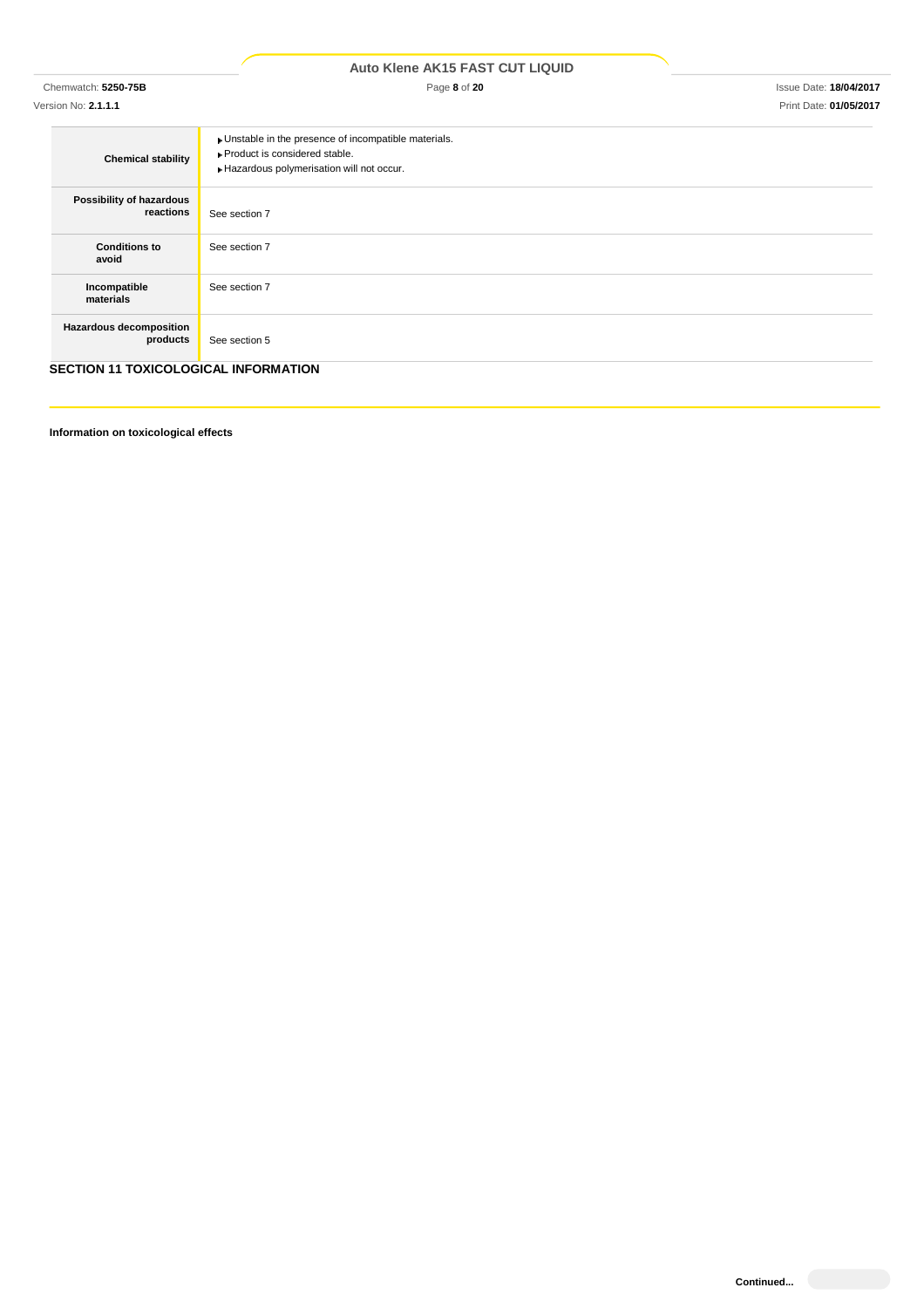|                                             | <b>Auto Klene AK15 FAST CUT LIQUID</b>                                                                                               |                               |
|---------------------------------------------|--------------------------------------------------------------------------------------------------------------------------------------|-------------------------------|
| Chemwatch: 5250-75B                         | Page 8 of 20                                                                                                                         | <b>Issue Date: 18/04/2017</b> |
| Version No: 2.1.1.1                         |                                                                                                                                      | Print Date: 01/05/2017        |
| <b>Chemical stability</b>                   | • Unstable in the presence of incompatible materials.<br>▶ Product is considered stable.<br>Hazardous polymerisation will not occur. |                               |
| Possibility of hazardous<br>reactions       | See section 7                                                                                                                        |                               |
| <b>Conditions to</b><br>avoid               | See section 7                                                                                                                        |                               |
| Incompatible<br>materials                   | See section 7                                                                                                                        |                               |
| Hazardous decomposition<br>products         | See section 5                                                                                                                        |                               |
| <b>SECTION 11 TOXICOLOGICAL INFORMATION</b> |                                                                                                                                      |                               |

**Information on toxicological effects**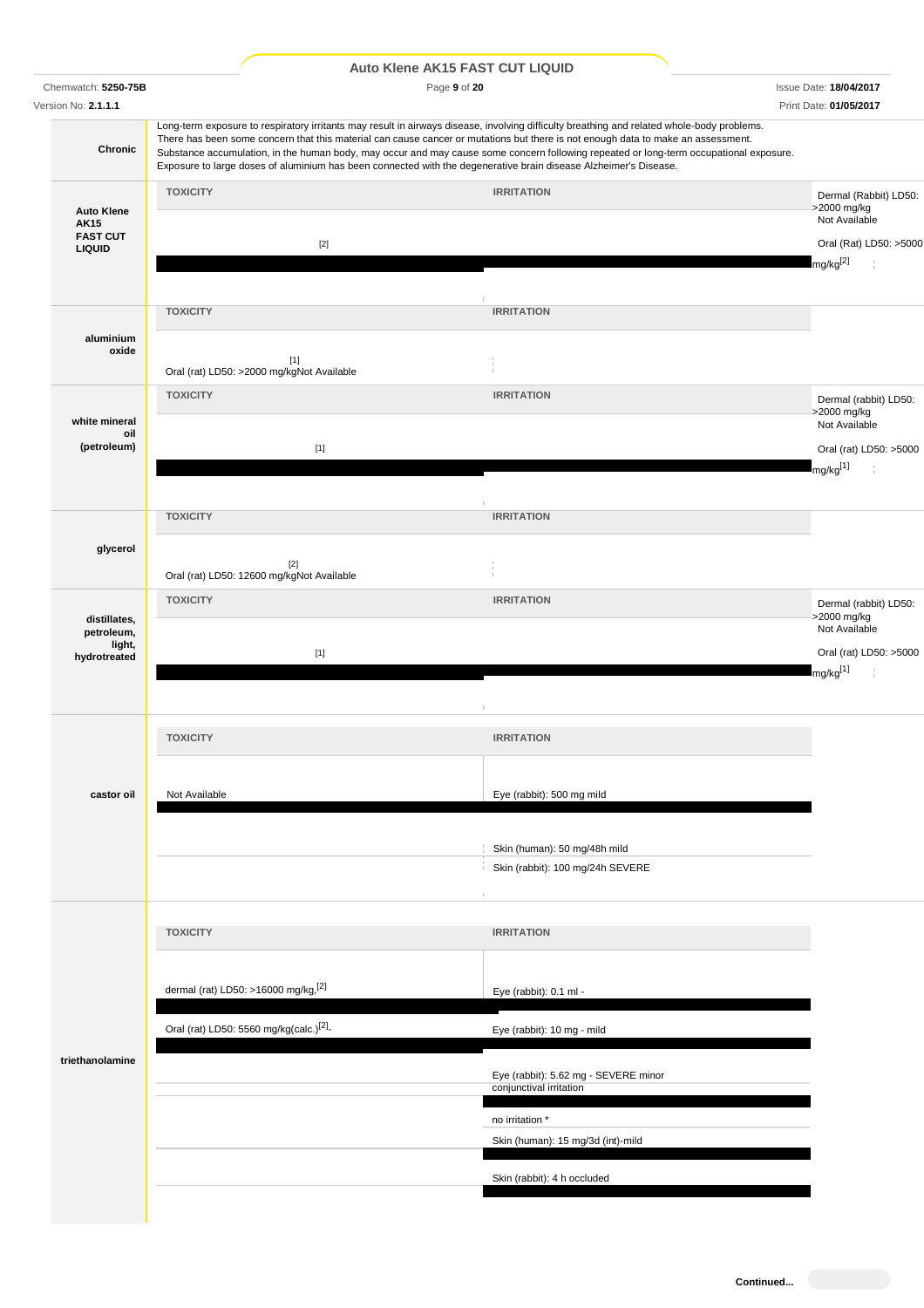|                                                                      |                                                     |                                                    | <b>Auto Klene AK15 FAST CUT LIQUID</b>                                                                                                                                                                                                                                                                                                                                                                                                                                                                                                       |                                                                                                       |
|----------------------------------------------------------------------|-----------------------------------------------------|----------------------------------------------------|----------------------------------------------------------------------------------------------------------------------------------------------------------------------------------------------------------------------------------------------------------------------------------------------------------------------------------------------------------------------------------------------------------------------------------------------------------------------------------------------------------------------------------------------|-------------------------------------------------------------------------------------------------------|
| Chemwatch: 5250-75B<br>Version No: 2.1.1.1                           |                                                     |                                                    | Page 9 of 20                                                                                                                                                                                                                                                                                                                                                                                                                                                                                                                                 | <b>Issue Date: 18/04/2017</b><br>Print Date: 01/05/2017                                               |
| Chronic                                                              |                                                     |                                                    | Long-term exposure to respiratory irritants may result in airways disease, involving difficulty breathing and related whole-body problems.<br>There has been some concern that this material can cause cancer or mutations but there is not enough data to make an assessment.<br>Substance accumulation, in the human body, may occur and may cause some concern following repeated or long-term occupational exposure.<br>Exposure to large doses of aluminium has been connected with the degenerative brain disease Alzheimer's Disease. |                                                                                                       |
| <b>Auto Klene</b><br><b>AK15</b><br><b>FAST CUT</b><br><b>LIQUID</b> | <b>TOXICITY</b>                                     | $[2]$                                              | <b>IRRITATION</b>                                                                                                                                                                                                                                                                                                                                                                                                                                                                                                                            | Dermal (Rabbit) LD50:<br>>2000 mg/kg<br>Not Available<br>Oral (Rat) LD50: >5000<br>$mg/kg^{[2]}$<br>÷ |
| aluminium<br>oxide                                                   | <b>TOXICITY</b>                                     | $[1]$<br>Oral (rat) LD50: >2000 mg/kgNot Available | <b>IRRITATION</b>                                                                                                                                                                                                                                                                                                                                                                                                                                                                                                                            |                                                                                                       |
| white mineral<br>oil<br>(petroleum)                                  | <b>TOXICITY</b>                                     | $[1]$                                              | <b>IRRITATION</b>                                                                                                                                                                                                                                                                                                                                                                                                                                                                                                                            | Dermal (rabbit) LD50:<br>>2000 mg/kg<br>Not Available<br>Oral (rat) LD50: >5000<br>mg/kg[1]<br>÷      |
| glycerol                                                             | <b>TOXICITY</b>                                     | $[2]$<br>Oral (rat) LD50: 12600 mg/kgNot Available | <b>IRRITATION</b>                                                                                                                                                                                                                                                                                                                                                                                                                                                                                                                            |                                                                                                       |
| distillates,<br>petroleum,<br>light,<br>hydrotreated                 | <b>TOXICITY</b>                                     | $[1]$                                              | <b>IRRITATION</b>                                                                                                                                                                                                                                                                                                                                                                                                                                                                                                                            | Dermal (rabbit) LD50:<br>>2000 mg/kg<br>Not Available<br>Oral (rat) LD50: >5000<br>mg/kg[1]           |
| castor oil                                                           | <b>TOXICITY</b><br>Not Available                    |                                                    | <b>IRRITATION</b><br>Eye (rabbit): 500 mg mild                                                                                                                                                                                                                                                                                                                                                                                                                                                                                               |                                                                                                       |
|                                                                      |                                                     |                                                    | Skin (human): 50 mg/48h mild<br>Skin (rabbit): 100 mg/24h SEVERE                                                                                                                                                                                                                                                                                                                                                                                                                                                                             |                                                                                                       |
|                                                                      | <b>TOXICITY</b>                                     |                                                    | <b>IRRITATION</b>                                                                                                                                                                                                                                                                                                                                                                                                                                                                                                                            |                                                                                                       |
|                                                                      | dermal (rat) LD50: >16000 mg/kg,[2]                 |                                                    | Eye (rabbit): 0.1 ml -                                                                                                                                                                                                                                                                                                                                                                                                                                                                                                                       |                                                                                                       |
|                                                                      | Oral (rat) LD50: 5560 mg/kg(calc.) <sup>[2]</sup> - |                                                    | Eye (rabbit): 10 mg - mild                                                                                                                                                                                                                                                                                                                                                                                                                                                                                                                   |                                                                                                       |

Eye (rabbit): 5.62 mg - SEVERE minor

Skin (human): 15 mg/3d (int)-mild

Skin (rabbit): 4 h occluded

conjunctival irritation

no irritation \*

**triethanolamine**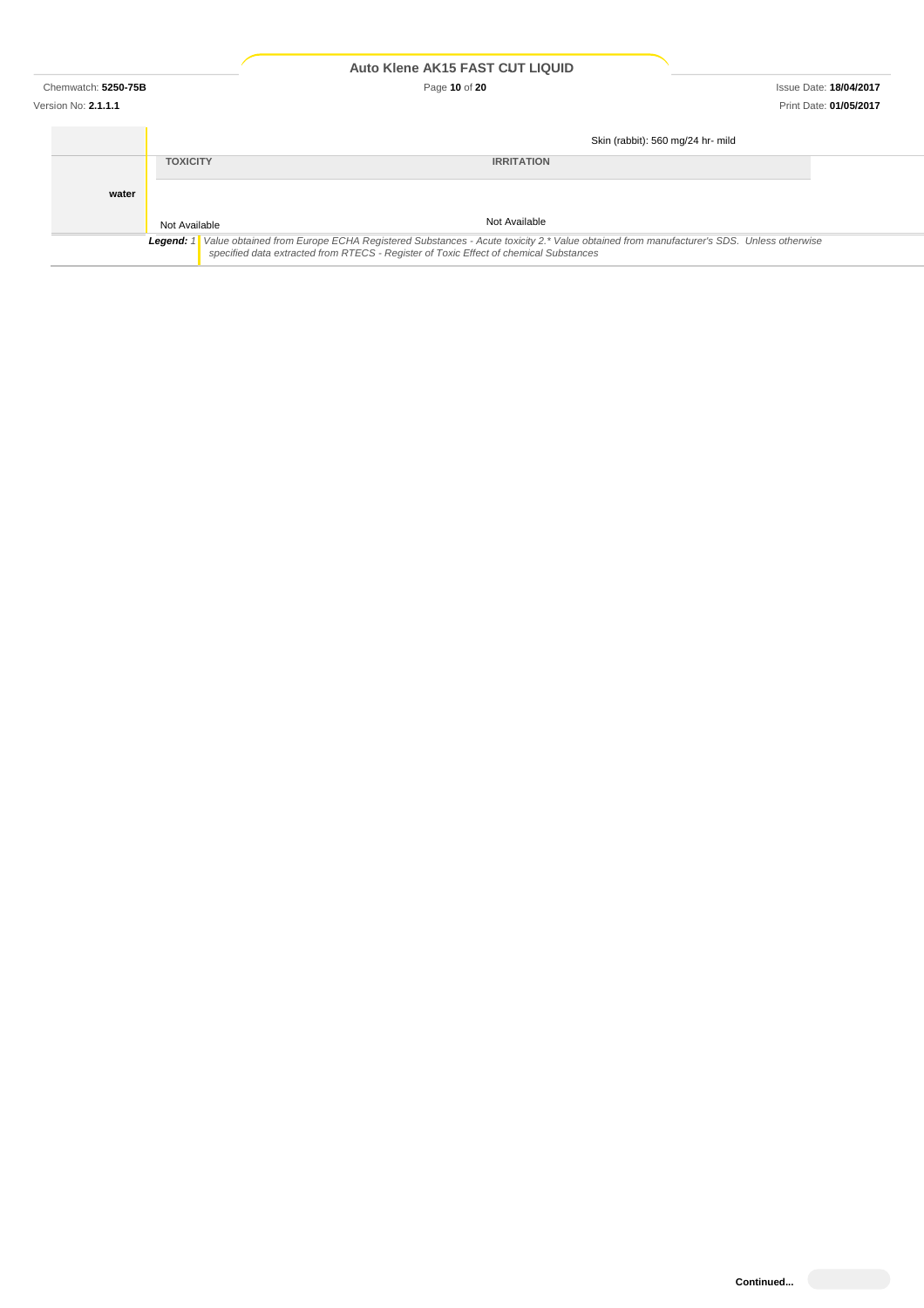Chemwatch: **5250-75B** Page **10** of **20** Issue Date: **18/04/2017**

|       |                 | Skin (rabbit): 560 mg/24 hr- mild                                                                                                                                                                                                       |  |
|-------|-----------------|-----------------------------------------------------------------------------------------------------------------------------------------------------------------------------------------------------------------------------------------|--|
|       | <b>TOXICITY</b> | <b>IRRITATION</b>                                                                                                                                                                                                                       |  |
| water |                 |                                                                                                                                                                                                                                         |  |
|       | Not Available   | Not Available                                                                                                                                                                                                                           |  |
|       |                 | Legend: 1  Value obtained from Europe ECHA Registered Substances - Acute toxicity 2.* Value obtained from manufacturer's SDS. Unless otherwise<br>specified data extracted from RTECS - Register of Toxic Effect of chemical Substances |  |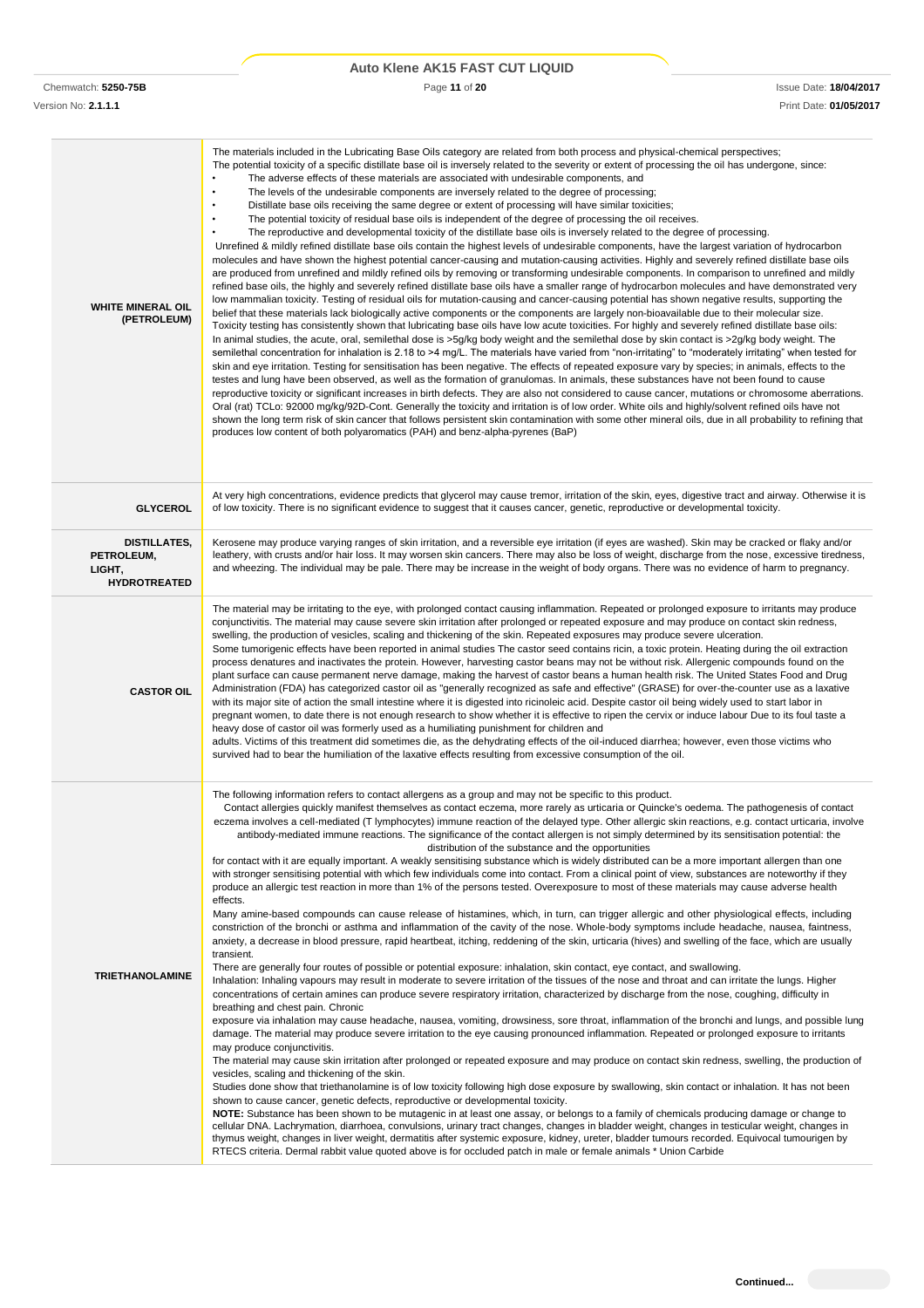| Auto Klene AK15 FAST CUT LIQUID |  |  |  |  |
|---------------------------------|--|--|--|--|
|---------------------------------|--|--|--|--|

| <b>WHITE MINERAL OIL</b><br>(PETROLEUM)                     | The materials included in the Lubricating Base Oils category are related from both process and physical-chemical perspectives;<br>The potential toxicity of a specific distillate base oil is inversely related to the severity or extent of processing the oil has undergone, since:<br>The adverse effects of these materials are associated with undesirable components, and<br>The levels of the undesirable components are inversely related to the degree of processing;<br>٠<br>Distillate base oils receiving the same degree or extent of processing will have similar toxicities;<br>٠<br>The potential toxicity of residual base oils is independent of the degree of processing the oil receives.<br>The reproductive and developmental toxicity of the distillate base oils is inversely related to the degree of processing.<br>Unrefined & mildly refined distillate base oils contain the highest levels of undesirable components, have the largest variation of hydrocarbon<br>molecules and have shown the highest potential cancer-causing and mutation-causing activities. Highly and severely refined distillate base oils<br>are produced from unrefined and mildly refined oils by removing or transforming undesirable components. In comparison to unrefined and mildly<br>refined base oils, the highly and severely refined distillate base oils have a smaller range of hydrocarbon molecules and have demonstrated very<br>low mammalian toxicity. Testing of residual oils for mutation-causing and cancer-causing potential has shown negative results, supporting the<br>belief that these materials lack biologically active components or the components are largely non-bioavailable due to their molecular size.<br>Toxicity testing has consistently shown that lubricating base oils have low acute toxicities. For highly and severely refined distillate base oils:<br>In animal studies, the acute, oral, semilethal dose is >5g/kg body weight and the semilethal dose by skin contact is >2g/kg body weight. The<br>semilethal concentration for inhalation is 2.18 to >4 mg/L. The materials have varied from "non-irritating" to "moderately irritating" when tested for<br>skin and eye irritation. Testing for sensitisation has been negative. The effects of repeated exposure vary by species; in animals, effects to the<br>testes and lung have been observed, as well as the formation of granulomas. In animals, these substances have not been found to cause<br>reproductive toxicity or significant increases in birth defects. They are also not considered to cause cancer, mutations or chromosome aberrations.<br>Oral (rat) TCLo: 92000 mg/kg/92D-Cont. Generally the toxicity and irritation is of low order. White oils and highly/solvent refined oils have not<br>shown the long term risk of skin cancer that follows persistent skin contamination with some other mineral oils, due in all probability to refining that<br>produces low content of both polyaromatics (PAH) and benz-alpha-pyrenes (BaP)                                                                                                                                                                                                                                                                                                  |
|-------------------------------------------------------------|---------------------------------------------------------------------------------------------------------------------------------------------------------------------------------------------------------------------------------------------------------------------------------------------------------------------------------------------------------------------------------------------------------------------------------------------------------------------------------------------------------------------------------------------------------------------------------------------------------------------------------------------------------------------------------------------------------------------------------------------------------------------------------------------------------------------------------------------------------------------------------------------------------------------------------------------------------------------------------------------------------------------------------------------------------------------------------------------------------------------------------------------------------------------------------------------------------------------------------------------------------------------------------------------------------------------------------------------------------------------------------------------------------------------------------------------------------------------------------------------------------------------------------------------------------------------------------------------------------------------------------------------------------------------------------------------------------------------------------------------------------------------------------------------------------------------------------------------------------------------------------------------------------------------------------------------------------------------------------------------------------------------------------------------------------------------------------------------------------------------------------------------------------------------------------------------------------------------------------------------------------------------------------------------------------------------------------------------------------------------------------------------------------------------------------------------------------------------------------------------------------------------------------------------------------------------------------------------------------------------------------------------------------------------------------------------------------------------------------------------------------------------------------------------------------------------------------------------------------------------------------------------------------------------------------------------------------------------------------------------------------------------------------------------------------------------------------------------------------------------------------------------------------------------------------------------------------------------------------------------------------------------------------------------------------------------------------------------------------------------------------|
| <b>GLYCEROL</b>                                             | At very high concentrations, evidence predicts that glycerol may cause tremor, irritation of the skin, eyes, digestive tract and airway. Otherwise it is<br>of low toxicity. There is no significant evidence to suggest that it causes cancer, genetic, reproductive or developmental toxicity.                                                                                                                                                                                                                                                                                                                                                                                                                                                                                                                                                                                                                                                                                                                                                                                                                                                                                                                                                                                                                                                                                                                                                                                                                                                                                                                                                                                                                                                                                                                                                                                                                                                                                                                                                                                                                                                                                                                                                                                                                                                                                                                                                                                                                                                                                                                                                                                                                                                                                                                                                                                                                                                                                                                                                                                                                                                                                                                                                                                                                                                                                |
| DISTILLATES,<br>PETROLEUM,<br>LIGHT,<br><b>HYDROTREATED</b> | Kerosene may produce varying ranges of skin irritation, and a reversible eye irritation (if eyes are washed). Skin may be cracked or flaky and/or<br>leathery, with crusts and/or hair loss. It may worsen skin cancers. There may also be loss of weight, discharge from the nose, excessive tiredness,<br>and wheezing. The individual may be pale. There may be increase in the weight of body organs. There was no evidence of harm to pregnancy.                                                                                                                                                                                                                                                                                                                                                                                                                                                                                                                                                                                                                                                                                                                                                                                                                                                                                                                                                                                                                                                                                                                                                                                                                                                                                                                                                                                                                                                                                                                                                                                                                                                                                                                                                                                                                                                                                                                                                                                                                                                                                                                                                                                                                                                                                                                                                                                                                                                                                                                                                                                                                                                                                                                                                                                                                                                                                                                           |
| <b>CASTOR OIL</b>                                           | The material may be irritating to the eye, with prolonged contact causing inflammation. Repeated or prolonged exposure to irritants may produce<br>conjunctivitis. The material may cause severe skin irritation after prolonged or repeated exposure and may produce on contact skin redness,<br>swelling, the production of vesicles, scaling and thickening of the skin. Repeated exposures may produce severe ulceration.<br>Some tumorigenic effects have been reported in animal studies The castor seed contains ricin, a toxic protein. Heating during the oil extraction<br>process denatures and inactivates the protein. However, harvesting castor beans may not be without risk. Allergenic compounds found on the<br>plant surface can cause permanent nerve damage, making the harvest of castor beans a human health risk. The United States Food and Drug<br>Administration (FDA) has categorized castor oil as "generally recognized as safe and effective" (GRASE) for over-the-counter use as a laxative<br>with its major site of action the small intestine where it is digested into ricinoleic acid. Despite castor oil being widely used to start labor in<br>pregnant women, to date there is not enough research to show whether it is effective to ripen the cervix or induce labour Due to its foul taste a<br>heavy dose of castor oil was formerly used as a humiliating punishment for children and<br>adults. Victims of this treatment did sometimes die, as the dehydrating effects of the oil-induced diarrhea; however, even those victims who<br>survived had to bear the humiliation of the laxative effects resulting from excessive consumption of the oil.                                                                                                                                                                                                                                                                                                                                                                                                                                                                                                                                                                                                                                                                                                                                                                                                                                                                                                                                                                                                                                                                                                                                                                                                                                                                                                                                                                                                                                                                                                                                                                                                                                                                            |
| <b>TRIETHANOLAMINE</b>                                      | The following information refers to contact allergens as a group and may not be specific to this product.<br>Contact allergies quickly manifest themselves as contact eczema, more rarely as urticaria or Quincke's oedema. The pathogenesis of contact<br>eczema involves a cell-mediated (T lymphocytes) immune reaction of the delayed type. Other allergic skin reactions, e.g. contact urticaria, involve<br>antibody-mediated immune reactions. The significance of the contact allergen is not simply determined by its sensitisation potential: the<br>distribution of the substance and the opportunities<br>for contact with it are equally important. A weakly sensitising substance which is widely distributed can be a more important allergen than one<br>with stronger sensitising potential with which few individuals come into contact. From a clinical point of view, substances are noteworthy if they<br>produce an allergic test reaction in more than 1% of the persons tested. Overexposure to most of these materials may cause adverse health<br>effects.<br>Many amine-based compounds can cause release of histamines, which, in turn, can trigger allergic and other physiological effects, including<br>constriction of the bronchi or asthma and inflammation of the cavity of the nose. Whole-body symptoms include headache, nausea, faintness,<br>anxiety, a decrease in blood pressure, rapid heartbeat, itching, reddening of the skin, urticaria (hives) and swelling of the face, which are usually<br>transient.<br>There are generally four routes of possible or potential exposure: inhalation, skin contact, eye contact, and swallowing.<br>Inhalation: Inhaling vapours may result in moderate to severe irritation of the tissues of the nose and throat and can irritate the lungs. Higher<br>concentrations of certain amines can produce severe respiratory irritation, characterized by discharge from the nose, coughing, difficulty in<br>breathing and chest pain. Chronic<br>exposure via inhalation may cause headache, nausea, vomiting, drowsiness, sore throat, inflammation of the bronchi and lungs, and possible lung<br>damage. The material may produce severe irritation to the eye causing pronounced inflammation. Repeated or prolonged exposure to irritants<br>may produce conjunctivitis.<br>The material may cause skin irritation after prolonged or repeated exposure and may produce on contact skin redness, swelling, the production of<br>vesicles, scaling and thickening of the skin.<br>Studies done show that triethanolamine is of low toxicity following high dose exposure by swallowing, skin contact or inhalation. It has not been<br>shown to cause cancer, genetic defects, reproductive or developmental toxicity.<br>NOTE: Substance has been shown to be mutagenic in at least one assay, or belongs to a family of chemicals producing damage or change to<br>cellular DNA. Lachrymation, diarrhoea, convulsions, urinary tract changes, changes in bladder weight, changes in testicular weight, changes in<br>thymus weight, changes in liver weight, dermatitis after systemic exposure, kidney, ureter, bladder tumours recorded. Equivocal tumourigen by<br>RTECS criteria. Dermal rabbit value quoted above is for occluded patch in male or female animals * Union Carbide |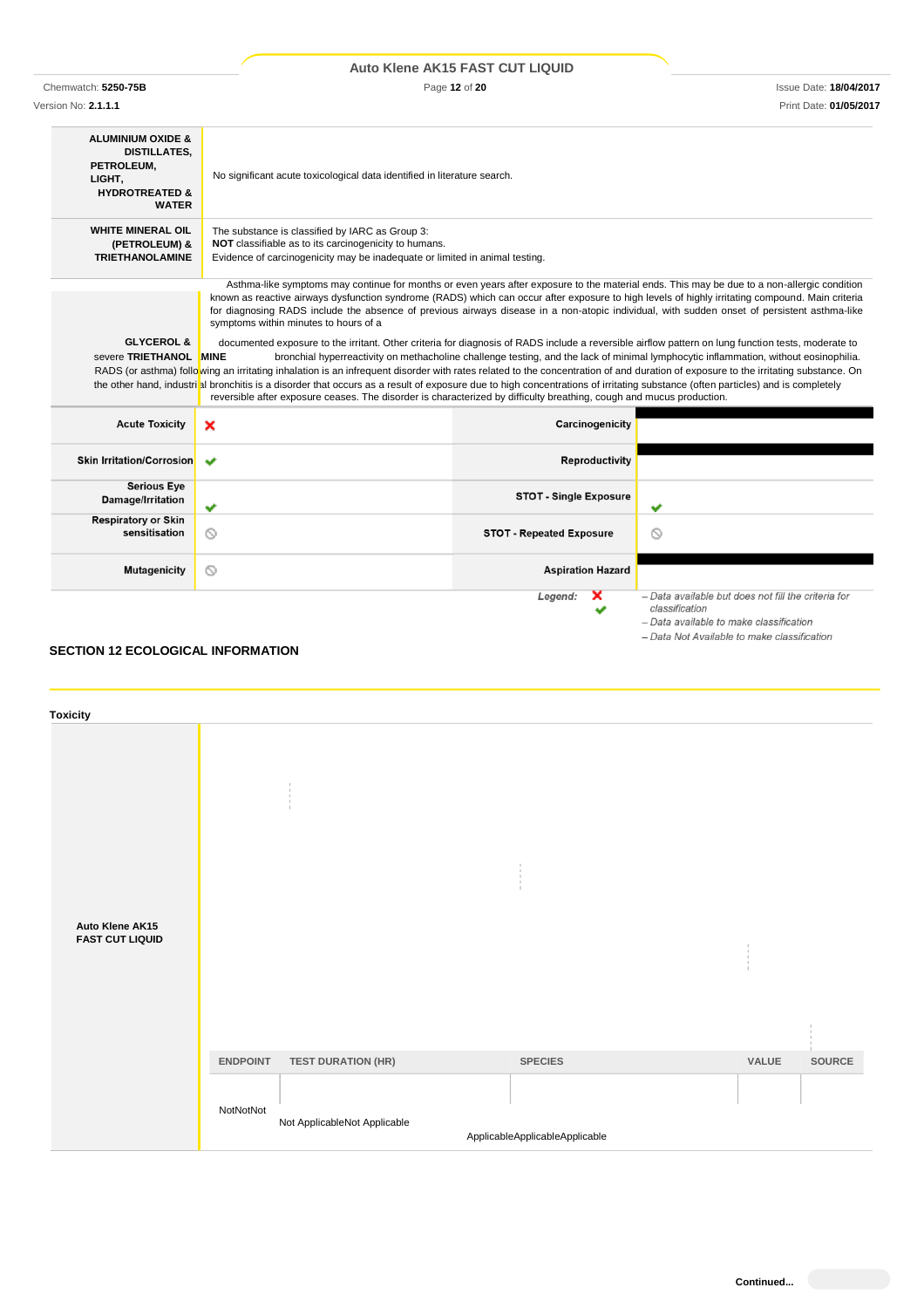|                                                                                                                          |                                                                                                                                                                                                                                                                                                                                                                                                                                                                                                                                                                                                                                                                                                                                                                                                                                           | Auto Klene AK15 FAST CUT LIQUID |                                                                                                                                      |  |
|--------------------------------------------------------------------------------------------------------------------------|-------------------------------------------------------------------------------------------------------------------------------------------------------------------------------------------------------------------------------------------------------------------------------------------------------------------------------------------------------------------------------------------------------------------------------------------------------------------------------------------------------------------------------------------------------------------------------------------------------------------------------------------------------------------------------------------------------------------------------------------------------------------------------------------------------------------------------------------|---------------------------------|--------------------------------------------------------------------------------------------------------------------------------------|--|
| Chemwatch: 5250-75B                                                                                                      | Page 12 of 20<br><b>Issue Date: 18/04/2017</b>                                                                                                                                                                                                                                                                                                                                                                                                                                                                                                                                                                                                                                                                                                                                                                                            |                                 |                                                                                                                                      |  |
| Version No: 2.1.1.1                                                                                                      |                                                                                                                                                                                                                                                                                                                                                                                                                                                                                                                                                                                                                                                                                                                                                                                                                                           |                                 | Print Date: 01/05/2017                                                                                                               |  |
| <b>ALUMINIUM OXIDE &amp;</b><br><b>DISTILLATES.</b><br>PETROLEUM,<br>LIGHT,<br><b>HYDROTREATED &amp;</b><br><b>WATER</b> | No significant acute toxicological data identified in literature search.                                                                                                                                                                                                                                                                                                                                                                                                                                                                                                                                                                                                                                                                                                                                                                  |                                 |                                                                                                                                      |  |
| <b>WHITE MINERAL OIL</b><br>(PETROLEUM) &<br><b>TRIETHANOLAMINE</b>                                                      | The substance is classified by IARC as Group 3:<br>NOT classifiable as to its carcinogenicity to humans.<br>Evidence of carcinogenicity may be inadequate or limited in animal testing.                                                                                                                                                                                                                                                                                                                                                                                                                                                                                                                                                                                                                                                   |                                 |                                                                                                                                      |  |
| <b>GLYCEROL &amp;</b><br>severe TRIETHANOL MINE                                                                          | for diagnosing RADS include the absence of previous airways disease in a non-atopic individual, with sudden onset of persistent asthma-like<br>symptoms within minutes to hours of a<br>documented exposure to the irritant. Other criteria for diagnosis of RADS include a reversible airflow pattern on lung function tests, moderate to<br>RADS (or asthma) following an irritating inhalation is an infrequent disorder with rates related to the concentration of and duration of exposure to the irritating substance. On<br>the other hand, industrial bronchitis is a disorder that occurs as a result of exposure due to high concentrations of irritating substance (often particles) and is completely<br>reversible after exposure ceases. The disorder is characterized by difficulty breathing, cough and mucus production. |                                 | bronchial hyperreactivity on methacholine challenge testing, and the lack of minimal lymphocytic inflammation, without eosinophilia. |  |
| <b>Acute Toxicity</b>                                                                                                    | ×                                                                                                                                                                                                                                                                                                                                                                                                                                                                                                                                                                                                                                                                                                                                                                                                                                         | Carcinogenicity                 |                                                                                                                                      |  |
| <b>Skin Irritation/Corrosion</b>                                                                                         | ັ                                                                                                                                                                                                                                                                                                                                                                                                                                                                                                                                                                                                                                                                                                                                                                                                                                         | <b>Reproductivity</b>           |                                                                                                                                      |  |
| <b>Serious Eye</b><br>Damage/Irritation                                                                                  | v                                                                                                                                                                                                                                                                                                                                                                                                                                                                                                                                                                                                                                                                                                                                                                                                                                         | <b>STOT - Single Exposure</b>   | ✔                                                                                                                                    |  |
| <b>Respiratory or Skin</b><br>sensitisation                                                                              | ◎                                                                                                                                                                                                                                                                                                                                                                                                                                                                                                                                                                                                                                                                                                                                                                                                                                         | <b>STOT - Repeated Exposure</b> | ல                                                                                                                                    |  |
| <b>Mutagenicity</b>                                                                                                      | ◎                                                                                                                                                                                                                                                                                                                                                                                                                                                                                                                                                                                                                                                                                                                                                                                                                                         | <b>Aspiration Hazard</b>        |                                                                                                                                      |  |
|                                                                                                                          |                                                                                                                                                                                                                                                                                                                                                                                                                                                                                                                                                                                                                                                                                                                                                                                                                                           | Legend:                         | - Data available but does not fill the criteria for<br>classification<br>.                                                           |  |

# **SECTION 12 ECOLOGICAL INFORMATION**

| <b>Toxicity</b>                           |                 |                                         |                                |       |        |
|-------------------------------------------|-----------------|-----------------------------------------|--------------------------------|-------|--------|
| Auto Klene AK15<br><b>FAST CUT LIQUID</b> |                 | $\mathbb{I}$<br>$\pm$<br>$\mathbb{R}^2$ | ×.<br>t                        |       |        |
|                                           | <b>ENDPOINT</b> | <b>TEST DURATION (HR)</b>               | <b>SPECIES</b>                 | VALUE | SOURCE |
|                                           | NotNotNot       | Not ApplicableNot Applicable            | ApplicableApplicableApplicable |       |        |

- Data available to make classification - Data Not Available to make classification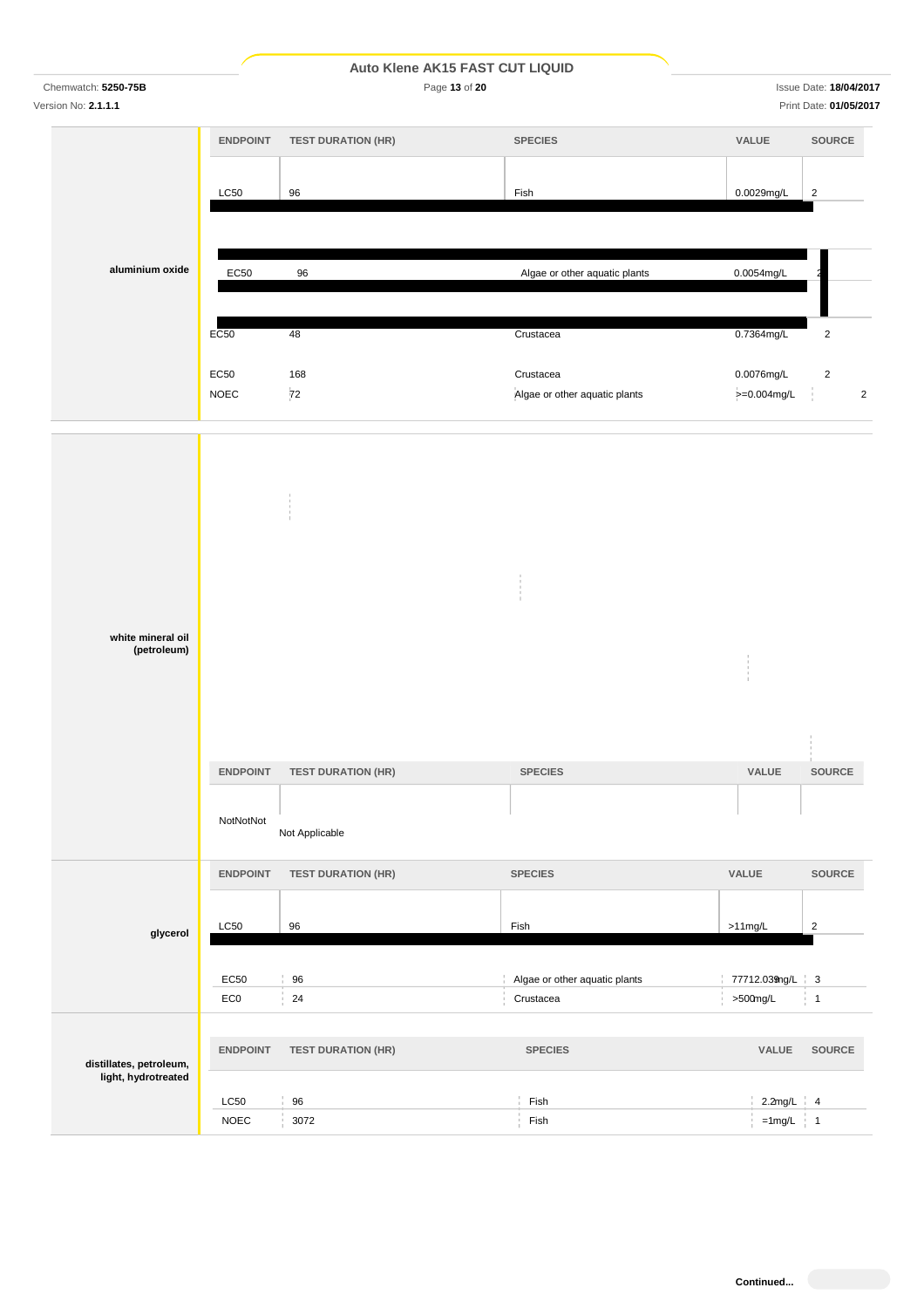Chemwatch: **5250-75B** Page **13** of **20** Issue Date: **18/04/2017**

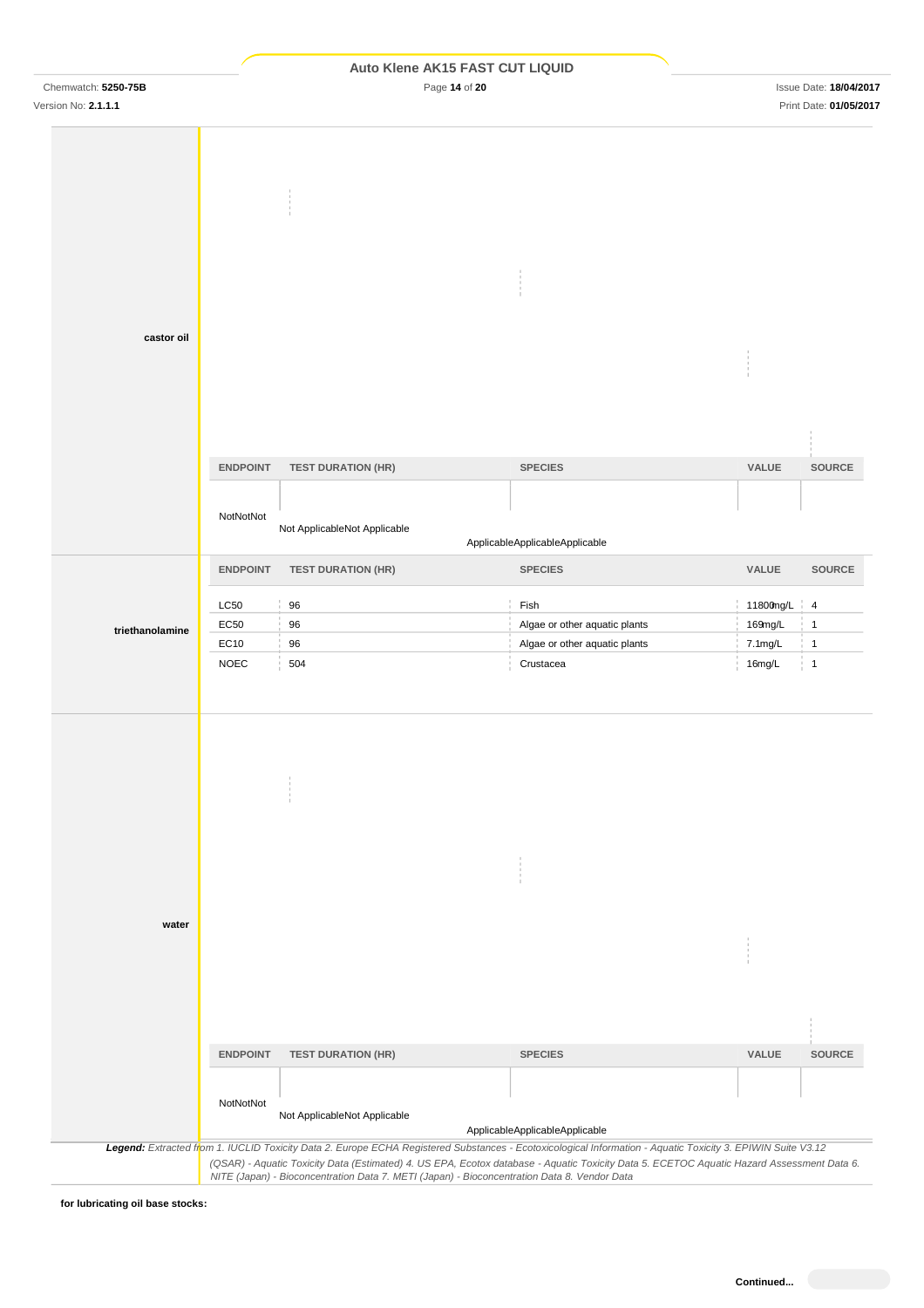|                     |                 |                              | Auto Klene AK15 FAST CUT LIQUID |             |                               |
|---------------------|-----------------|------------------------------|---------------------------------|-------------|-------------------------------|
| Chemwatch: 5250-75B |                 | Page 14 of 20                |                                 |             | <b>Issue Date: 18/04/2017</b> |
| Version No: 2.1.1.1 |                 |                              |                                 |             | Print Date: 01/05/2017        |
| castor oil          |                 |                              |                                 |             |                               |
|                     | <b>ENDPOINT</b> | <b>TEST DURATION (HR)</b>    | <b>SPECIES</b>                  | VALUE       | SOURCE                        |
|                     | NotNotNot       | Not ApplicableNot Applicable | ApplicableApplicableApplicable  |             |                               |
|                     | <b>ENDPOINT</b> | <b>TEST DURATION (HR)</b>    | <b>SPECIES</b>                  | VALUE       | <b>SOURCE</b>                 |
|                     | <b>LC50</b>     | 96                           | Fish                            | 11800mg/L 4 |                               |
| triethanolamine     | EC50            | 96                           | Algae or other aquatic plants   | 169mg/L     | $\mathbf{1}$                  |
|                     | EC10            | 96                           | Algae or other aquatic plants   | 7.1mg/L     | $\frac{1}{2}$ 1               |
|                     | <b>NOEC</b>     | 504                          | Crustacea                       | 16mg/L      | $\frac{1}{2}$ 1               |
| water               |                 |                              |                                 |             |                               |
|                     |                 |                              |                                 |             |                               |
|                     |                 |                              |                                 |             |                               |
|                     | <b>ENDPOINT</b> | <b>TEST DURATION (HR)</b>    | <b>SPECIES</b>                  | VALUE       | <b>SOURCE</b>                 |

*NITE (Japan) - Bioconcentration Data 7. METI (Japan) - Bioconcentration Data 8. Vendor Data*

**for lubricating oil base stocks:**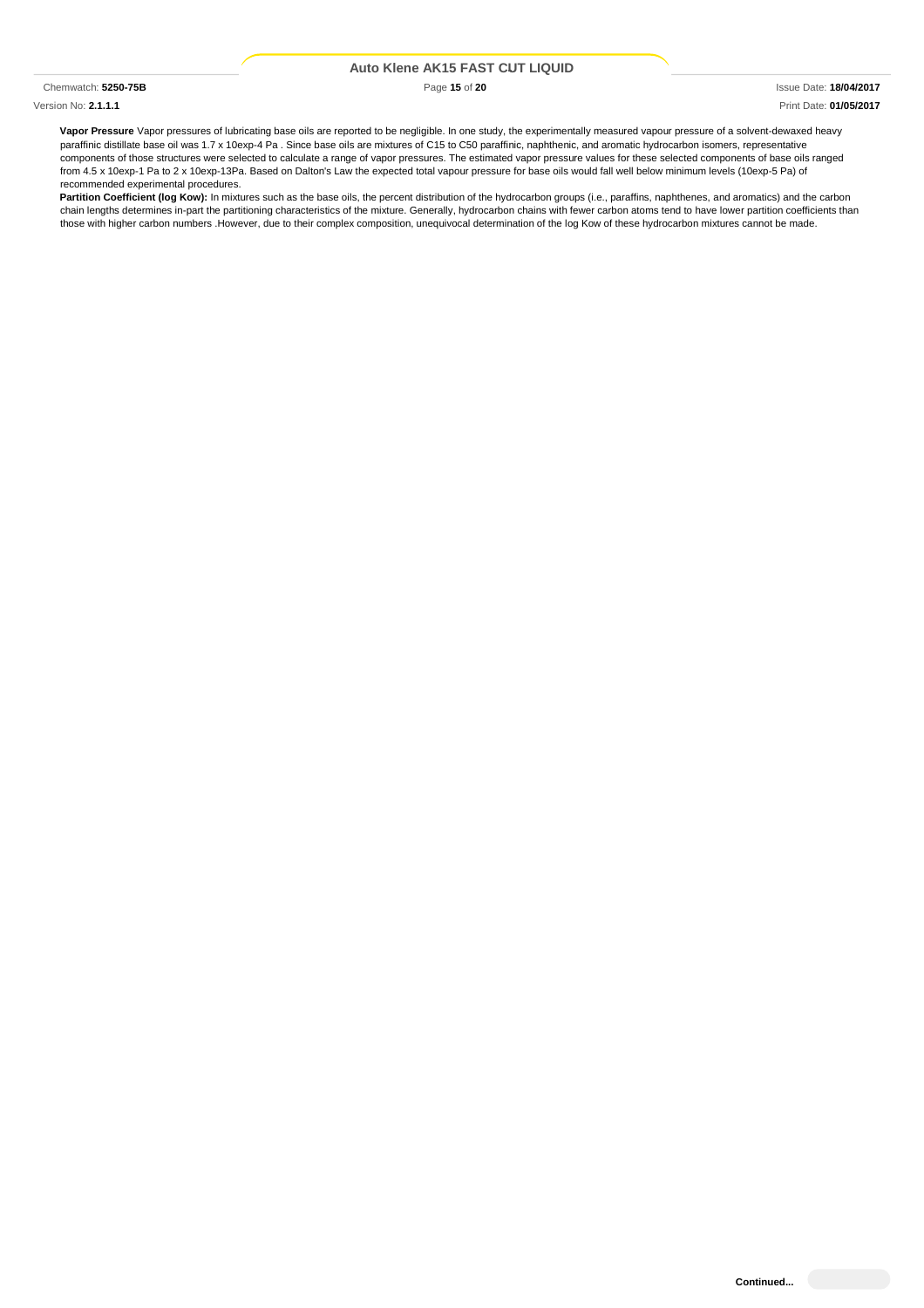### Version No: **2.1.1.1** Print Date: **01/05/2017**

**Vapor Pressure** Vapor pressures of lubricating base oils are reported to be negligible. In one study, the experimentally measured vapour pressure of a solvent-dewaxed heavy paraffinic distillate base oil was 1.7 x 10exp-4 Pa . Since base oils are mixtures of C15 to C50 paraffinic, naphthenic, and aromatic hydrocarbon isomers, representative components of those structures were selected to calculate a range of vapor pressures. The estimated vapor pressure values for these selected components of base oils ranged from 4.5 x 10exp-1 Pa to 2 x 10exp-13Pa. Based on Dalton's Law the expected total vapour pressure for base oils would fall well below minimum levels (10exp-5 Pa) of recommended experimental procedures.

**Partition Coefficient (log Kow):** In mixtures such as the base oils, the percent distribution of the hydrocarbon groups (i.e., paraffins, naphthenes, and aromatics) and the carbon chain lengths determines in-part the partitioning characteristics of the mixture. Generally, hydrocarbon chains with fewer carbon atoms tend to have lower partition coefficients than those with higher carbon numbers .However, due to their complex composition, unequivocal determination of the log Kow of these hydrocarbon mixtures cannot be made.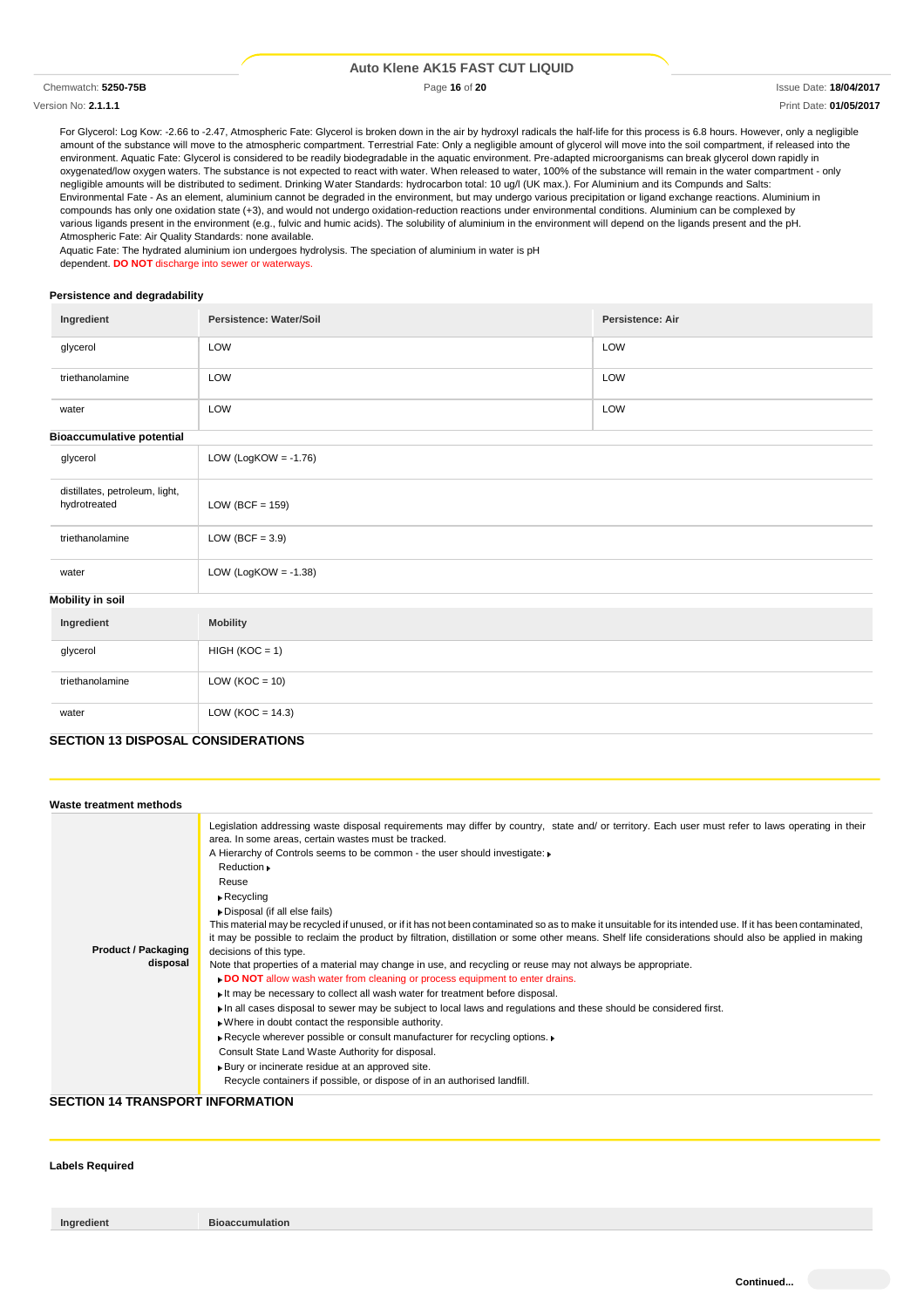### Version No: **2.1.1.1** Print Date: **01/05/2017**

Chemwatch: **5250-75B** Page **16** of **20** Issue Date: **18/04/2017**

For Glycerol: Log Kow: -2.66 to -2.47, Atmospheric Fate: Glycerol is broken down in the air by hydroxyl radicals the half-life for this process is 6.8 hours. However, only a negligible amount of the substance will move to the atmospheric compartment. Terrestrial Fate: Only a negligible amount of glycerol will move into the soil compartment, if released into the environment. Aquatic Fate: Glycerol is considered to be readily biodegradable in the aquatic environment. Pre-adapted microorganisms can break glycerol down rapidly in oxygenated/low oxygen waters. The substance is not expected to react with water. When released to water, 100% of the substance will remain in the water compartment - only negligible amounts will be distributed to sediment. Drinking Water Standards: hydrocarbon total: 10 ug/l (UK max.). For Aluminium and its Compunds and Salts: Environmental Fate - As an element, aluminium cannot be degraded in the environment, but may undergo various precipitation or ligand exchange reactions. Aluminium in compounds has only one oxidation state (+3), and would not undergo oxidation-reduction reactions under environmental conditions. Aluminium can be complexed by various ligands present in the environment (e.g., fulvic and humic acids). The solubility of aluminium in the environment will depend on the ligands present and the pH. Atmospheric Fate: Air Quality Standards: none available.

Aquatic Fate: The hydrated aluminium ion undergoes hydrolysis. The speciation of aluminium in water is pH dependent. **DO NOT** discharge into sewer or waterways.

### **Persistence and degradability**

| Ingredient                                     | Persistence: Water/Soil | Persistence: Air |
|------------------------------------------------|-------------------------|------------------|
| glycerol                                       | LOW                     | LOW              |
| triethanolamine                                | LOW                     | LOW              |
| water                                          | LOW                     | LOW              |
| <b>Bioaccumulative potential</b>               |                         |                  |
| glycerol                                       | LOW (LogKOW = $-1.76$ ) |                  |
| distillates, petroleum, light,<br>hydrotreated | LOW (BCF = $159$ )      |                  |
| triethanolamine                                | LOW (BCF = $3.9$ )      |                  |
| water                                          | LOW (LogKOW = $-1.38$ ) |                  |
| <b>Mobility in soil</b>                        |                         |                  |
| Ingredient                                     | <b>Mobility</b>         |                  |
| glycerol                                       | $HIGH (KOC = 1)$        |                  |
| triethanolamine                                | LOW ( $KOC = 10$ )      |                  |
| water                                          | LOW ( $KOC = 14.3$ )    |                  |
| <b>CECTION 42 DICROSAL CONCIDERATIONS</b>      |                         |                  |

### **SECTION 13 DISPOSAL CONSIDERATIONS**

| Waste treatment methods                |                                                                                                                                                                                                                                                                                                                                                                                                                                                                                                                                                                                                                                                                                                                                                                                                                                                                                                                                                                                                                                                                                                                                                                                                                                                                                                                                                                                                                                                                |
|----------------------------------------|----------------------------------------------------------------------------------------------------------------------------------------------------------------------------------------------------------------------------------------------------------------------------------------------------------------------------------------------------------------------------------------------------------------------------------------------------------------------------------------------------------------------------------------------------------------------------------------------------------------------------------------------------------------------------------------------------------------------------------------------------------------------------------------------------------------------------------------------------------------------------------------------------------------------------------------------------------------------------------------------------------------------------------------------------------------------------------------------------------------------------------------------------------------------------------------------------------------------------------------------------------------------------------------------------------------------------------------------------------------------------------------------------------------------------------------------------------------|
| <b>Product / Packaging</b><br>disposal | Legislation addressing waste disposal requirements may differ by country, state and/ or territory. Each user must refer to laws operating in their<br>area. In some areas, certain wastes must be tracked.<br>A Hierarchy of Controls seems to be common - the user should investigate:<br>Reduction »<br>Reuse<br>$\triangleright$ Recycling<br>Disposal (if all else fails)<br>This material may be recycled if unused, or if it has not been contaminated so as to make it unsuitable for its intended use. If it has been contaminated,<br>it may be possible to reclaim the product by filtration, distillation or some other means. Shelf life considerations should also be applied in making<br>decisions of this type.<br>Note that properties of a material may change in use, and recycling or reuse may not always be appropriate.<br>. DO NOT allow wash water from cleaning or process equipment to enter drains.<br>It may be necessary to collect all wash water for treatment before disposal.<br>In all cases disposal to sewer may be subject to local laws and regulations and these should be considered first.<br>. Where in doubt contact the responsible authority.<br>Recycle wherever possible or consult manufacturer for recycling options. ▶<br>Consult State Land Waste Authority for disposal.<br>▶ Bury or incinerate residue at an approved site.<br>Recycle containers if possible, or dispose of in an authorised landfill. |

### **SECTION 14 TRANSPORT INFORMATION**

# **Labels Required**

**Ingredient Bioaccumulation**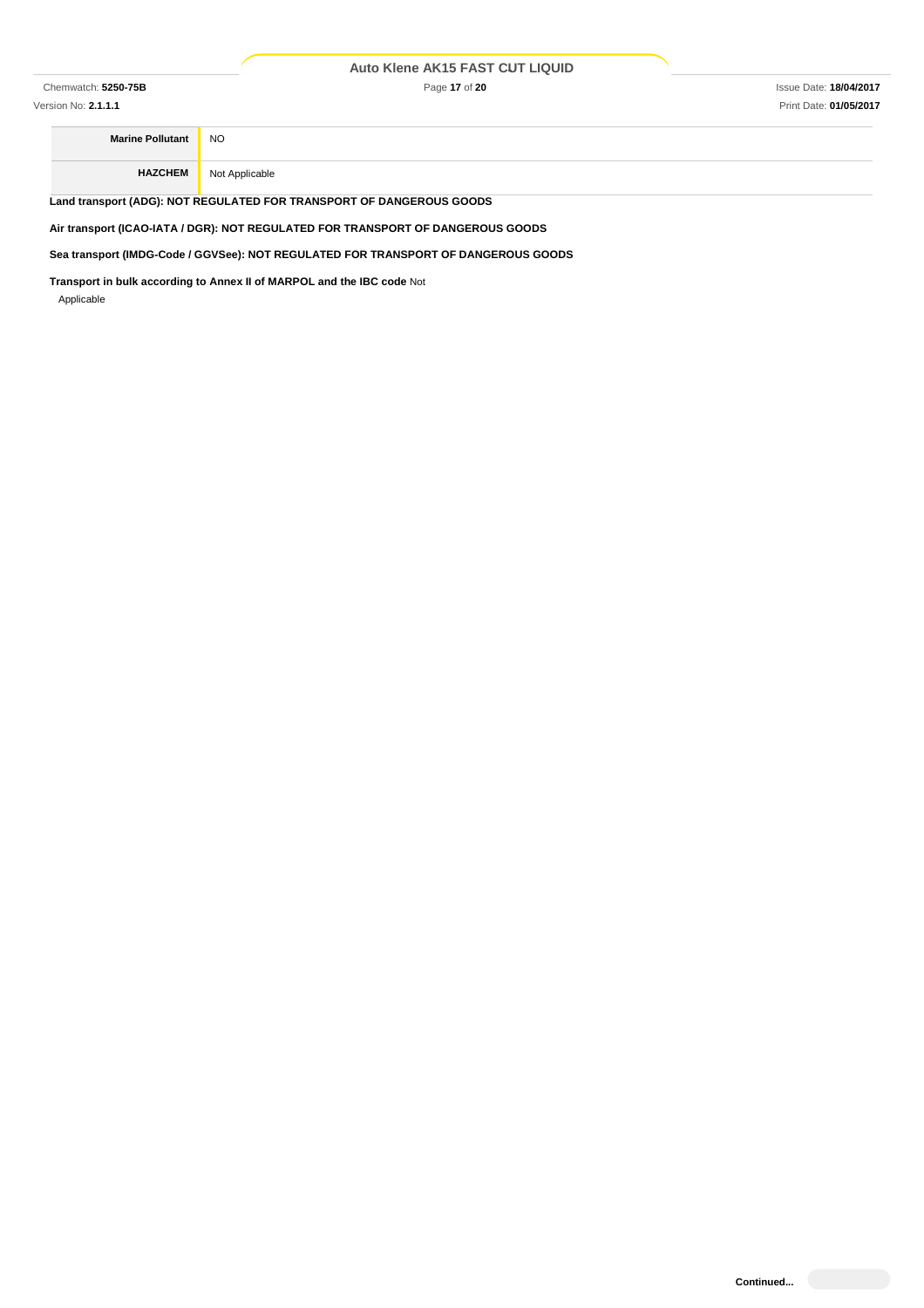Chemwatch: **5250-75B** Page **17** of **20** Issue Date: **18/04/2017**

Version No: **2.1.1.1** Print Date: **01/05/2017**

**Marine Pollutant** NO **HAZCHEM** Not Applicable

**Land transport (ADG): NOT REGULATED FOR TRANSPORT OF DANGEROUS GOODS**

**Air transport (ICAO-IATA / DGR): NOT REGULATED FOR TRANSPORT OF DANGEROUS GOODS**

**Sea transport (IMDG-Code / GGVSee): NOT REGULATED FOR TRANSPORT OF DANGEROUS GOODS**

**Transport in bulk according to Annex II of MARPOL and the IBC code** Not Applicable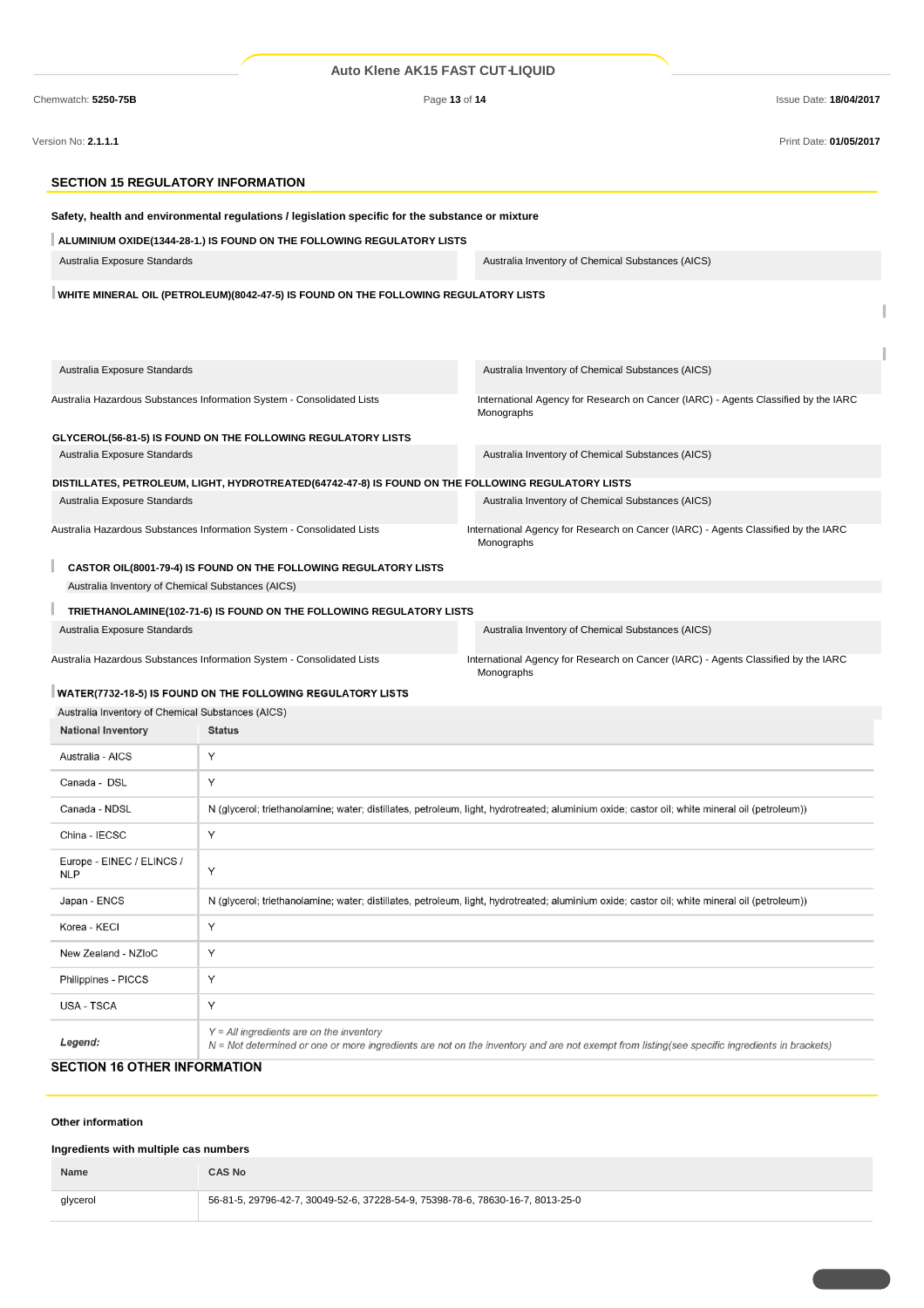|                                                                                | <b>Auto Klene AK15 FAST CUT-LIQUID</b>                                                             |                                                                                                                                               |                               |
|--------------------------------------------------------------------------------|----------------------------------------------------------------------------------------------------|-----------------------------------------------------------------------------------------------------------------------------------------------|-------------------------------|
| Chemwatch: 5250-75B                                                            | Page 13 of 14                                                                                      |                                                                                                                                               | <b>Issue Date: 18/04/2017</b> |
| Version No: 2.1.1.1                                                            |                                                                                                    |                                                                                                                                               | Print Date: 01/05/2017        |
| <b>SECTION 15 REGULATORY INFORMATION</b>                                       |                                                                                                    |                                                                                                                                               |                               |
|                                                                                | Safety, health and environmental regulations / legislation specific for the substance or mixture   |                                                                                                                                               |                               |
|                                                                                | ALUMINIUM OXIDE(1344-28-1.) IS FOUND ON THE FOLLOWING REGULATORY LISTS                             |                                                                                                                                               |                               |
| Australia Exposure Standards                                                   |                                                                                                    | Australia Inventory of Chemical Substances (AICS)                                                                                             |                               |
|                                                                                | WHITE MINERAL OIL (PETROLEUM)(8042-47-5) IS FOUND ON THE FOLLOWING REGULATORY LISTS                |                                                                                                                                               |                               |
| Australia Exposure Standards                                                   |                                                                                                    | Australia Inventory of Chemical Substances (AICS)                                                                                             |                               |
|                                                                                | Australia Hazardous Substances Information System - Consolidated Lists                             | International Agency for Research on Cancer (IARC) - Agents Classified by the IARC<br>Monographs                                              |                               |
|                                                                                | GLYCEROL(56-81-5) IS FOUND ON THE FOLLOWING REGULATORY LISTS                                       |                                                                                                                                               |                               |
| Australia Exposure Standards                                                   |                                                                                                    | Australia Inventory of Chemical Substances (AICS)                                                                                             |                               |
|                                                                                | DISTILLATES, PETROLEUM, LIGHT, HYDROTREATED(64742-47-8) IS FOUND ON THE FOLLOWING REGULATORY LISTS |                                                                                                                                               |                               |
| Australia Exposure Standards                                                   |                                                                                                    | Australia Inventory of Chemical Substances (AICS)                                                                                             |                               |
|                                                                                | Australia Hazardous Substances Information System - Consolidated Lists                             | International Agency for Research on Cancer (IARC) - Agents Classified by the IARC<br>Monographs                                              |                               |
| Australia Inventory of Chemical Substances (AICS)                              | CASTOR OIL(8001-79-4) IS FOUND ON THE FOLLOWING REGULATORY LISTS                                   |                                                                                                                                               |                               |
|                                                                                | TRIETHANOLAMINE(102-71-6) IS FOUND ON THE FOLLOWING REGULATORY LISTS                               |                                                                                                                                               |                               |
| Australia Exposure Standards                                                   |                                                                                                    | Australia Inventory of Chemical Substances (AICS)                                                                                             |                               |
|                                                                                | Australia Hazardous Substances Information System - Consolidated Lists                             | International Agency for Research on Cancer (IARC) - Agents Classified by the IARC<br>Monographs                                              |                               |
|                                                                                | WATER(7732-18-5) IS FOUND ON THE FOLLOWING REGULATORY LISTS                                        |                                                                                                                                               |                               |
| Australia Inventory of Chemical Substances (AICS)<br><b>National Inventory</b> | <b>Status</b>                                                                                      |                                                                                                                                               |                               |
|                                                                                | Υ                                                                                                  |                                                                                                                                               |                               |
| Australia - AICS                                                               |                                                                                                    |                                                                                                                                               |                               |
| Canada - DSL                                                                   | Υ                                                                                                  |                                                                                                                                               |                               |
| Canada - NDSL                                                                  |                                                                                                    | N (glycerol; triethanolamine; water; distillates, petroleum, light, hydrotreated; aluminium oxide; castor oil; white mineral oil (petroleum)) |                               |
| China - IECSC                                                                  | Υ                                                                                                  |                                                                                                                                               |                               |
| Europe - EINEC / ELINCS /<br><b>NLP</b>                                        | Y                                                                                                  |                                                                                                                                               |                               |
| Japan - ENCS                                                                   |                                                                                                    | N (glycerol; triethanolamine; water; distillates, petroleum, light, hydrotreated; aluminium oxide; castor oil; white mineral oil (petroleum)) |                               |
| Korea - KECl                                                                   | Υ                                                                                                  |                                                                                                                                               |                               |
| <b>MI71</b>                                                                    |                                                                                                    |                                                                                                                                               |                               |

| <b>SECTION 16 OTHER INFORMATION</b> |                                                                                                                                                                                            |
|-------------------------------------|--------------------------------------------------------------------------------------------------------------------------------------------------------------------------------------------|
| Legend:                             | $Y = All$ ingredients are on the inventory<br>N = Not determined or one or more ingredients are not on the inventory and are not exempt from listing(see specific ingredients in brackets) |
| <b>USA - TSCA</b>                   |                                                                                                                                                                                            |
| Philippines - PICCS                 |                                                                                                                                                                                            |
| $110W$ $\&$ $110W$ $\&$ $110W$      |                                                                                                                                                                                            |

# Other information

# **Ingredients with multiple cas numbers**

| Name     | <b>CAS No</b>                                                                  |
|----------|--------------------------------------------------------------------------------|
| glycerol | 56-81-5, 29796-42-7, 30049-52-6, 37228-54-9, 75398-78-6, 78630-16-7, 8013-25-0 |